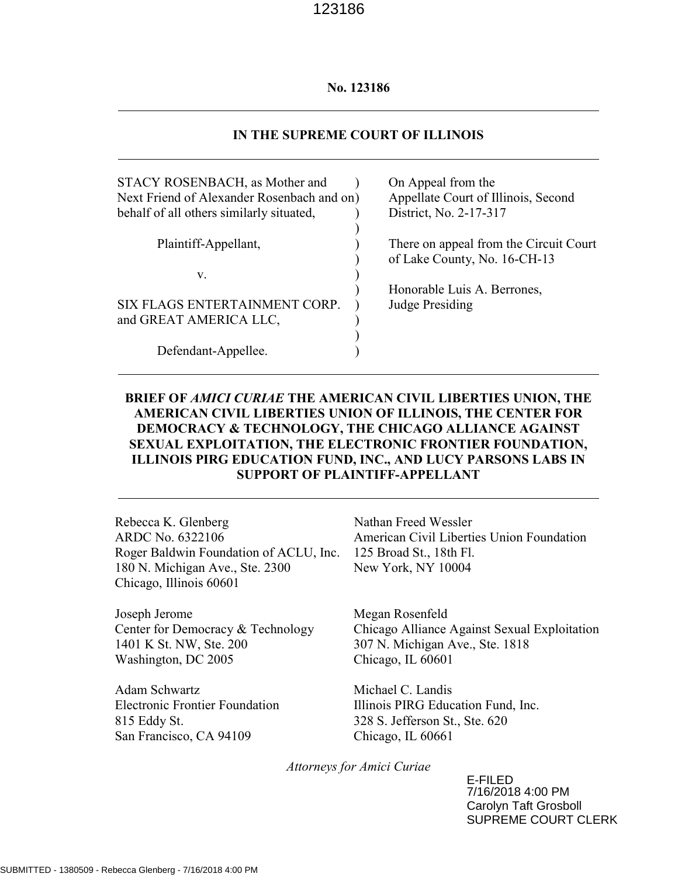#### No. 123186

#### IN THE SUPREME COURT OF ILLINOIS

| STACY ROSENBACH, as Mother and<br>Next Friend of Alexander Rosenbach and on) |  |
|------------------------------------------------------------------------------|--|
| behalf of all others similarly situated,                                     |  |
| Plaintiff-Appellant,                                                         |  |
| V.                                                                           |  |
| SIX FLAGS ENTERTAINMENT CORP.<br>and GREAT AMERICA LLC,                      |  |
| Defendant-Appellee.                                                          |  |

On Appeal from the Appellate Court of Illinois, Second District, No. 2-17-317

There on appeal from the Circuit Court of Lake County, No. 16-CH-13

Honorable Luis A. Berrones, Judge Presiding

## BRIEF OF AMICI CURIAE THE AMERICAN CIVIL LIBERTIES UNION, THE AMERICAN CIVIL LIBERTIES UNION OF ILLINOIS, THE CENTER FOR DEMOCRACY & TECHNOLOGY, THE CHICAGO ALLIANCE AGAINST SEXUAL EXPLOITATION, THE ELECTRONIC FRONTIER FOUNDATION, ILLINOIS PIRG EDUCATION FUND, INC., AND LUCY PARSONS LABS IN SUPPORT OF PLAINTIFF-APPELLANT

Rebecca K. Glenberg ARDC No. 6322106 Roger Baldwin Foundation of ACLU, Inc. 125 Broad St., 18th Fl. 180 N. Michigan Ave., Ste. 2300 Chicago, Illinois 60601

Joseph Jerome Center for Democracy & Technology 1401 K St. NW, Ste. 200 Washington, DC 2005

Adam Schwartz Electronic Frontier Foundation 815 Eddy St. San Francisco, CA 94109

Nathan Freed Wessler American Civil Liberties Union Foundation New York, NY 10004

Megan Rosenfeld Chicago Alliance Against Sexual Exploitation 307 N. Michigan Ave., Ste. 1818 Chicago, IL 60601

Michael C. Landis Illinois PIRG Education Fund, Inc. 328 S. Jefferson St., Ste. 620 Chicago, IL 60661

Attorneys for Amici Curiae

E-FILED 7/16/2018 4:00 PM Carolyn Taft Grosboll SUPREME COURT CLERK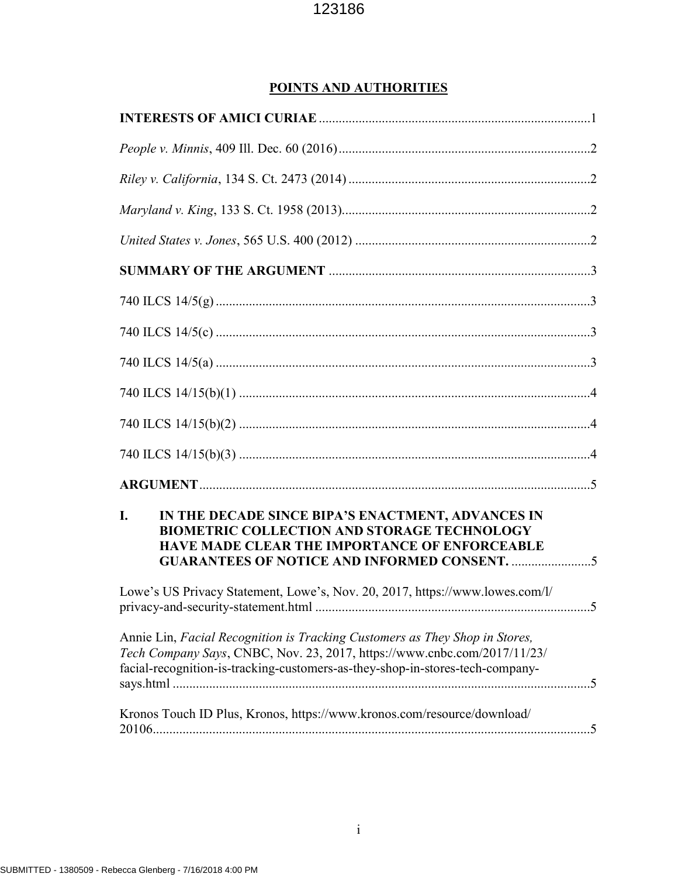## POINTS AND AUTHORITIES

| I.<br>IN THE DECADE SINCE BIPA'S ENACTMENT, ADVANCES IN<br><b>BIOMETRIC COLLECTION AND STORAGE TECHNOLOGY</b><br>HAVE MADE CLEAR THE IMPORTANCE OF ENFORCEABLE<br><b>GUARANTEES OF NOTICE AND INFORMED CONSENT. 5</b>                    |
|------------------------------------------------------------------------------------------------------------------------------------------------------------------------------------------------------------------------------------------|
| Lowe's US Privacy Statement, Lowe's, Nov. 20, 2017, https://www.lowes.com/l/<br>$5^{\circ}$                                                                                                                                              |
| Annie Lin, Facial Recognition is Tracking Customers as They Shop in Stores,<br>Tech Company Says, CNBC, Nov. 23, 2017, https://www.cnbc.com/2017/11/23/<br>facial-recognition-is-tracking-customers-as-they-shop-in-stores-tech-company- |
| Kronos Touch ID Plus, Kronos, https://www.kronos.com/resource/download/                                                                                                                                                                  |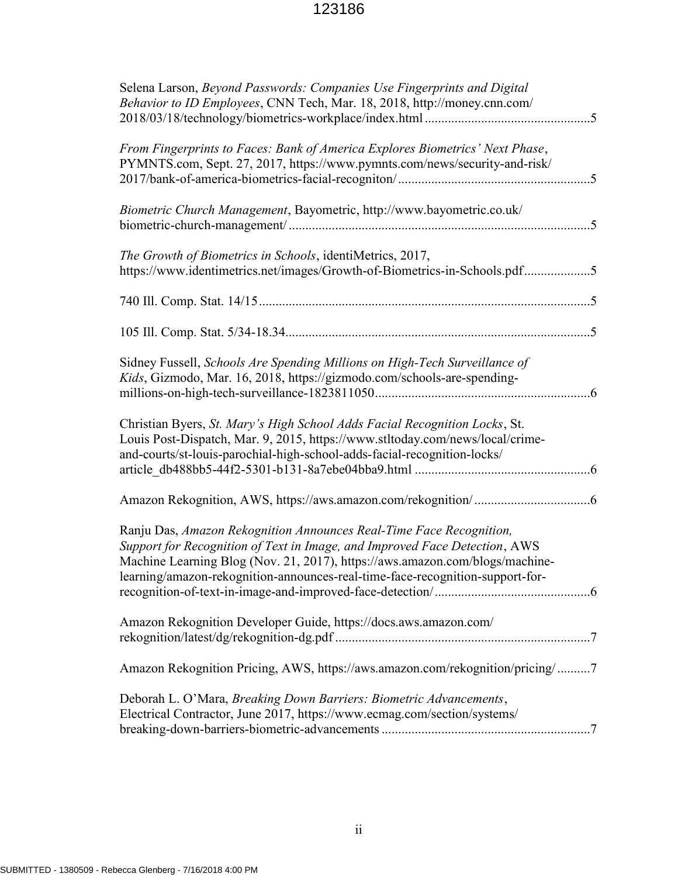| Selena Larson, Beyond Passwords: Companies Use Fingerprints and Digital<br>Behavior to ID Employees, CNN Tech, Mar. 18, 2018, http://money.cnn.com/                                                                                                                                                                |
|--------------------------------------------------------------------------------------------------------------------------------------------------------------------------------------------------------------------------------------------------------------------------------------------------------------------|
| From Fingerprints to Faces: Bank of America Explores Biometrics' Next Phase,<br>PYMNTS.com, Sept. 27, 2017, https://www.pymnts.com/news/security-and-risk/                                                                                                                                                         |
| Biometric Church Management, Bayometric, http://www.bayometric.co.uk/                                                                                                                                                                                                                                              |
| The Growth of Biometrics in Schools, identiMetrics, 2017,<br>https://www.identimetrics.net/images/Growth-of-Biometrics-in-Schools.pdf5                                                                                                                                                                             |
|                                                                                                                                                                                                                                                                                                                    |
|                                                                                                                                                                                                                                                                                                                    |
| Sidney Fussell, Schools Are Spending Millions on High-Tech Surveillance of<br>Kids, Gizmodo, Mar. 16, 2018, https://gizmodo.com/schools-are-spending-                                                                                                                                                              |
| Christian Byers, St. Mary's High School Adds Facial Recognition Locks, St.<br>Louis Post-Dispatch, Mar. 9, 2015, https://www.stltoday.com/news/local/crime-<br>and-courts/st-louis-parochial-high-school-adds-facial-recognition-locks/                                                                            |
|                                                                                                                                                                                                                                                                                                                    |
| Ranju Das, Amazon Rekognition Announces Real-Time Face Recognition,<br>Support for Recognition of Text in Image, and Improved Face Detection, AWS<br>Machine Learning Blog (Nov. 21, 2017), https://aws.amazon.com/blogs/machine-<br>learning/amazon-rekognition-announces-real-time-face-recognition-support-for- |
| Amazon Rekognition Developer Guide, https://docs.aws.amazon.com/                                                                                                                                                                                                                                                   |
| Amazon Rekognition Pricing, AWS, https://aws.amazon.com/rekognition/pricing/7                                                                                                                                                                                                                                      |
| Deborah L. O'Mara, Breaking Down Barriers: Biometric Advancements,<br>Electrical Contractor, June 2017, https://www.ecmag.com/section/systems/                                                                                                                                                                     |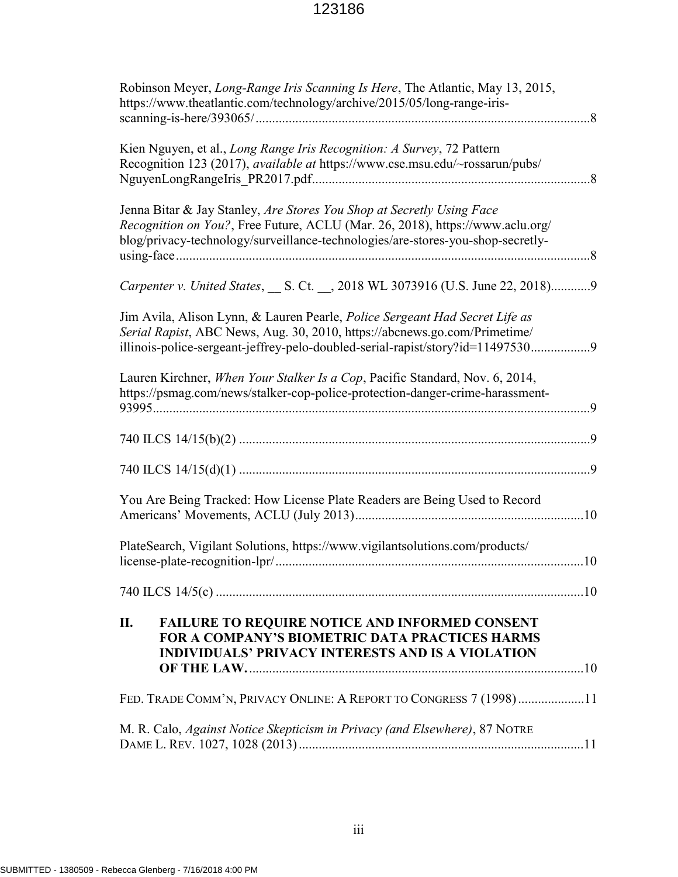| Robinson Meyer, Long-Range Iris Scanning Is Here, The Atlantic, May 13, 2015,<br>https://www.theatlantic.com/technology/archive/2015/05/long-range-iris-                                                                                   |
|--------------------------------------------------------------------------------------------------------------------------------------------------------------------------------------------------------------------------------------------|
| Kien Nguyen, et al., <i>Long Range Iris Recognition: A Survey</i> , 72 Pattern<br>Recognition 123 (2017), available at https://www.cse.msu.edu/~rossarun/pubs/                                                                             |
| Jenna Bitar & Jay Stanley, Are Stores You Shop at Secretly Using Face<br>Recognition on You?, Free Future, ACLU (Mar. 26, 2018), https://www.aclu.org/<br>blog/privacy-technology/surveillance-technologies/are-stores-you-shop-secretly-  |
| Carpenter v. United States, __ S. Ct. __, 2018 WL 3073916 (U.S. June 22, 2018)9                                                                                                                                                            |
| Jim Avila, Alison Lynn, & Lauren Pearle, Police Sergeant Had Secret Life as<br>Serial Rapist, ABC News, Aug. 30, 2010, https://abcnews.go.com/Primetime/<br>illinois-police-sergeant-jeffrey-pelo-doubled-serial-rapist/story?id=114975309 |
| Lauren Kirchner, When Your Stalker Is a Cop, Pacific Standard, Nov. 6, 2014,<br>https://psmag.com/news/stalker-cop-police-protection-danger-crime-harassment-                                                                              |
|                                                                                                                                                                                                                                            |
|                                                                                                                                                                                                                                            |
| You Are Being Tracked: How License Plate Readers are Being Used to Record                                                                                                                                                                  |
| PlateSearch, Vigilant Solutions, https://www.vigilantsolutions.com/products/                                                                                                                                                               |
|                                                                                                                                                                                                                                            |
| П.<br><b>FAILURE TO REQUIRE NOTICE AND INFORMED CONSENT</b><br><b>FOR A COMPANY'S BIOMETRIC DATA PRACTICES HARMS</b><br><b>INDIVIDUALS' PRIVACY INTERESTS AND IS A VIOLATION</b>                                                           |
| FED. TRADE COMM'N, PRIVACY ONLINE: A REPORT TO CONGRESS 7 (1998)11                                                                                                                                                                         |
| M. R. Calo, Against Notice Skepticism in Privacy (and Elsewhere), 87 NOTRE                                                                                                                                                                 |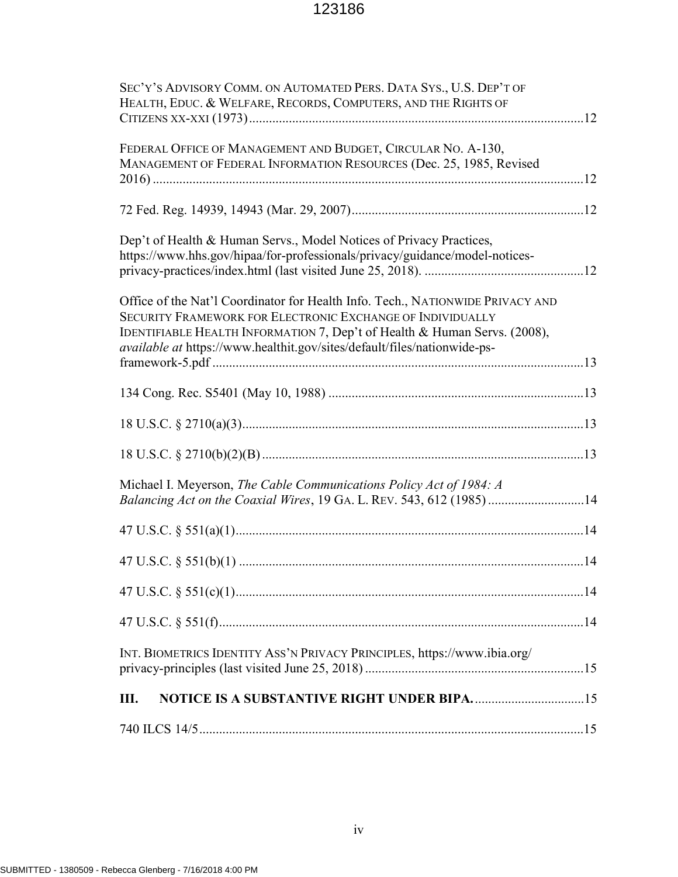| SEC'Y'S ADVISORY COMM. ON AUTOMATED PERS. DATA SYS., U.S. DEP'T OF<br>HEALTH, EDUC. & WELFARE, RECORDS, COMPUTERS, AND THE RIGHTS OF                                                                                                                                                                  |  |
|-------------------------------------------------------------------------------------------------------------------------------------------------------------------------------------------------------------------------------------------------------------------------------------------------------|--|
| FEDERAL OFFICE OF MANAGEMENT AND BUDGET, CIRCULAR NO. A-130,<br>MANAGEMENT OF FEDERAL INFORMATION RESOURCES (Dec. 25, 1985, Revised                                                                                                                                                                   |  |
|                                                                                                                                                                                                                                                                                                       |  |
| Dep't of Health & Human Servs., Model Notices of Privacy Practices,<br>https://www.hhs.gov/hipaa/for-professionals/privacy/guidance/model-notices-                                                                                                                                                    |  |
| Office of the Nat'l Coordinator for Health Info. Tech., NATIONWIDE PRIVACY AND<br>SECURITY FRAMEWORK FOR ELECTRONIC EXCHANGE OF INDIVIDUALLY<br>IDENTIFIABLE HEALTH INFORMATION 7, Dep't of Health & Human Servs. (2008),<br>available at https://www.healthit.gov/sites/default/files/nationwide-ps- |  |
|                                                                                                                                                                                                                                                                                                       |  |
|                                                                                                                                                                                                                                                                                                       |  |
|                                                                                                                                                                                                                                                                                                       |  |
| Michael I. Meyerson, The Cable Communications Policy Act of 1984: A<br>Balancing Act on the Coaxial Wires, 19 GA. L. REV. 543, 612 (1985) 14                                                                                                                                                          |  |
|                                                                                                                                                                                                                                                                                                       |  |
|                                                                                                                                                                                                                                                                                                       |  |
|                                                                                                                                                                                                                                                                                                       |  |
|                                                                                                                                                                                                                                                                                                       |  |
| INT. BIOMETRICS IDENTITY ASS'N PRIVACY PRINCIPLES, https://www.ibia.org/                                                                                                                                                                                                                              |  |
| <b>NOTICE IS A SUBSTANTIVE RIGHT UNDER BIPA15</b><br>Ш.                                                                                                                                                                                                                                               |  |
|                                                                                                                                                                                                                                                                                                       |  |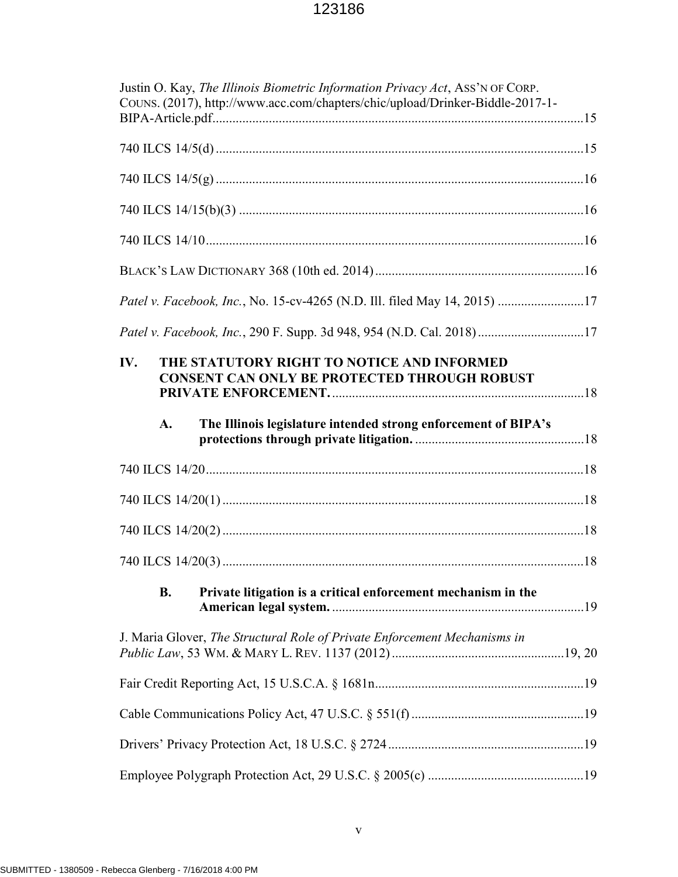| Justin O. Kay, The Illinois Biometric Information Privacy Act, ASS'N OF CORP.<br>COUNS. (2017), http://www.acc.com/chapters/chic/upload/Drinker-Biddle-2017-1- |
|----------------------------------------------------------------------------------------------------------------------------------------------------------------|
|                                                                                                                                                                |
|                                                                                                                                                                |
|                                                                                                                                                                |
|                                                                                                                                                                |
|                                                                                                                                                                |
| Patel v. Facebook, Inc., No. 15-cv-4265 (N.D. Ill. filed May 14, 2015) 17                                                                                      |
| Patel v. Facebook, Inc., 290 F. Supp. 3d 948, 954 (N.D. Cal. 2018)17                                                                                           |
| THE STATUTORY RIGHT TO NOTICE AND INFORMED<br>IV.<br><b>CONSENT CAN ONLY BE PROTECTED THROUGH ROBUST</b>                                                       |
| $\mathbf{A}$ .<br>The Illinois legislature intended strong enforcement of BIPA's                                                                               |
|                                                                                                                                                                |
|                                                                                                                                                                |
|                                                                                                                                                                |
|                                                                                                                                                                |
| <b>B.</b><br>Private litigation is a critical enforcement mechanism in the                                                                                     |
| J. Maria Glover, The Structural Role of Private Enforcement Mechanisms in                                                                                      |
|                                                                                                                                                                |
|                                                                                                                                                                |
|                                                                                                                                                                |
|                                                                                                                                                                |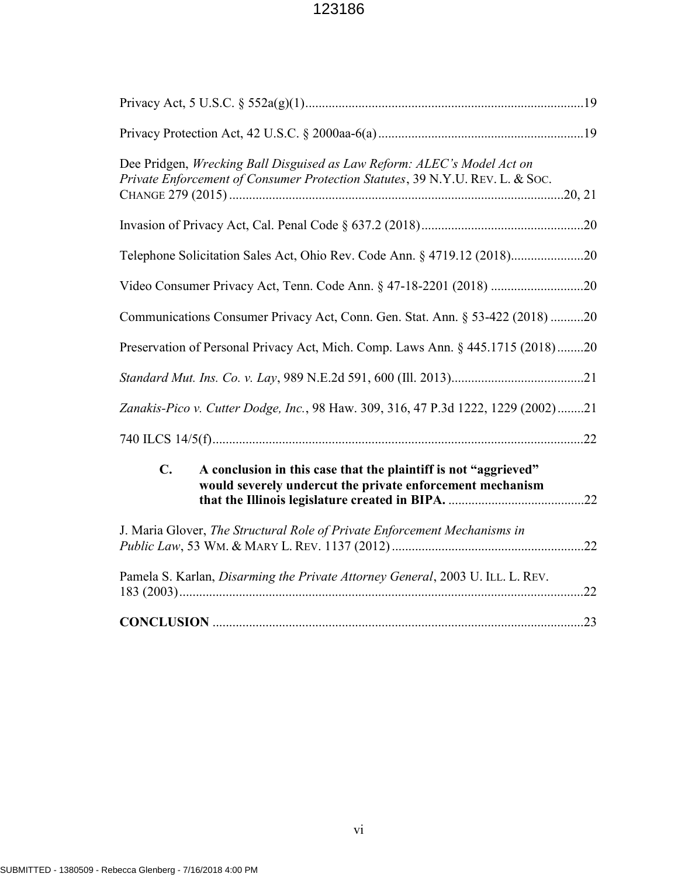| Dee Pridgen, Wrecking Ball Disguised as Law Reform: ALEC's Model Act on<br>Private Enforcement of Consumer Protection Statutes, 39 N.Y.U. REV. L. & Soc. |
|----------------------------------------------------------------------------------------------------------------------------------------------------------|
|                                                                                                                                                          |
| Telephone Solicitation Sales Act, Ohio Rev. Code Ann. § 4719.12 (2018)20                                                                                 |
|                                                                                                                                                          |
| Communications Consumer Privacy Act, Conn. Gen. Stat. Ann. § 53-422 (2018) 20                                                                            |
| Preservation of Personal Privacy Act, Mich. Comp. Laws Ann. § 445.1715 (2018)20                                                                          |
|                                                                                                                                                          |
| Zanakis-Pico v. Cutter Dodge, Inc., 98 Haw. 309, 316, 47 P.3d 1222, 1229 (2002)21                                                                        |
|                                                                                                                                                          |
| A conclusion in this case that the plaintiff is not "aggrieved"<br>$\mathbf{C}$ .<br>would severely undercut the private enforcement mechanism           |
| J. Maria Glover, The Structural Role of Private Enforcement Mechanisms in                                                                                |
| Pamela S. Karlan, Disarming the Private Attorney General, 2003 U. ILL. L. REV.                                                                           |
|                                                                                                                                                          |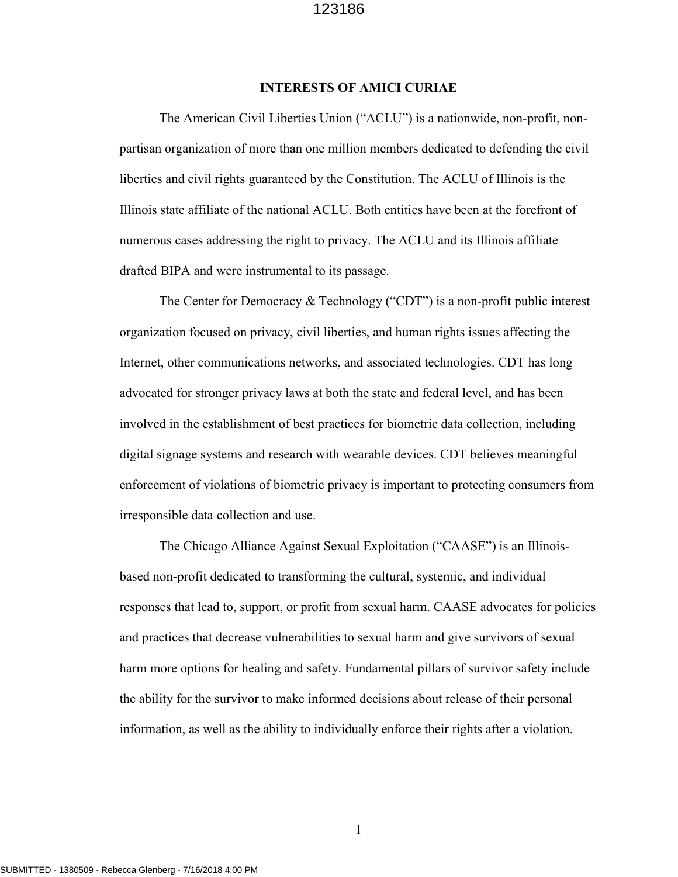#### INTERESTS OF AMICI CURIAE

The American Civil Liberties Union ("ACLU") is a nationwide, non-profit, nonpartisan organization of more than one million members dedicated to defending the civil liberties and civil rights guaranteed by the Constitution. The ACLU of Illinois is the Illinois state affiliate of the national ACLU. Both entities have been at the forefront of numerous cases addressing the right to privacy. The ACLU and its Illinois affiliate drafted BIPA and were instrumental to its passage.

The Center for Democracy & Technology ("CDT") is a non-profit public interest organization focused on privacy, civil liberties, and human rights issues affecting the Internet, other communications networks, and associated technologies. CDT has long advocated for stronger privacy laws at both the state and federal level, and has been involved in the establishment of best practices for biometric data collection, including digital signage systems and research with wearable devices. CDT believes meaningful enforcement of violations of biometric privacy is important to protecting consumers from irresponsible data collection and use.

The Chicago Alliance Against Sexual Exploitation ("CAASE") is an Illinoisbased non-profit dedicated to transforming the cultural, systemic, and individual responses that lead to, support, or profit from sexual harm. CAASE advocates for policies and practices that decrease vulnerabilities to sexual harm and give survivors of sexual harm more options for healing and safety. Fundamental pillars of survivor safety include the ability for the survivor to make informed decisions about release of their personal information, as well as the ability to individually enforce their rights after a violation.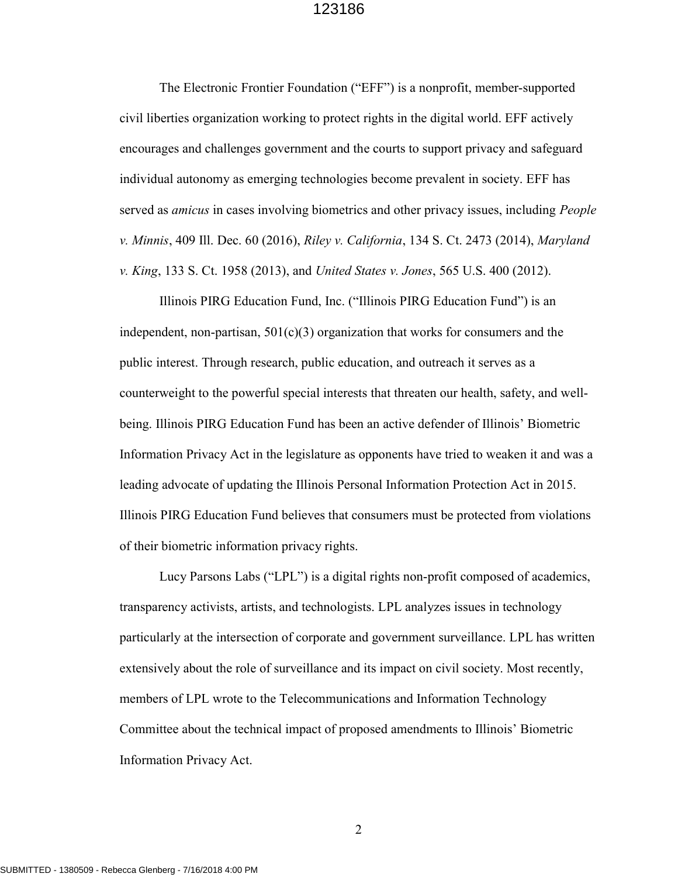The Electronic Frontier Foundation ("EFF") is a nonprofit, member-supported civil liberties organization working to protect rights in the digital world. EFF actively encourages and challenges government and the courts to support privacy and safeguard individual autonomy as emerging technologies become prevalent in society. EFF has served as *amicus* in cases involving biometrics and other privacy issues, including *People* v. Minnis, 409 Ill. Dec. 60 (2016), Riley v. California, 134 S. Ct. 2473 (2014), Maryland v. King, 133 S. Ct. 1958 (2013), and United States v. Jones, 565 U.S. 400 (2012).

Illinois PIRG Education Fund, Inc. ("Illinois PIRG Education Fund") is an independent, non-partisan,  $501(c)(3)$  organization that works for consumers and the public interest. Through research, public education, and outreach it serves as a counterweight to the powerful special interests that threaten our health, safety, and wellbeing. Illinois PIRG Education Fund has been an active defender of Illinois' Biometric Information Privacy Act in the legislature as opponents have tried to weaken it and was a leading advocate of updating the Illinois Personal Information Protection Act in 2015. Illinois PIRG Education Fund believes that consumers must be protected from violations of their biometric information privacy rights.

Lucy Parsons Labs ("LPL") is a digital rights non-profit composed of academics, transparency activists, artists, and technologists. LPL analyzes issues in technology particularly at the intersection of corporate and government surveillance. LPL has written extensively about the role of surveillance and its impact on civil society. Most recently, members of LPL wrote to the Telecommunications and Information Technology Committee about the technical impact of proposed amendments to Illinois' Biometric Information Privacy Act.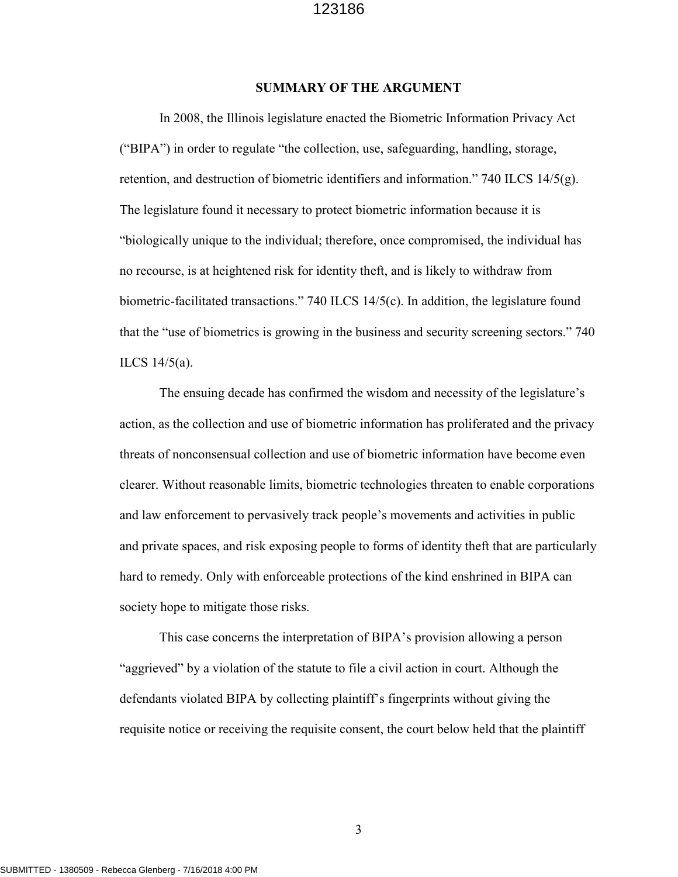#### SUMMARY OF THE ARGUMENT

In 2008, the Illinois legislature enacted the Biometric Information Privacy Act ("BIPA") in order to regulate "the collection, use, safeguarding, handling, storage, retention, and destruction of biometric identifiers and information." 740 ILCS  $14/5(g)$ . The legislature found it necessary to protect biometric information because it is "biologically unique to the individual; therefore, once compromised, the individual has no recourse, is at heightened risk for identity theft, and is likely to withdraw from biometric-facilitated transactions." 740 ILCS 14/5(c). In addition, the legislature found that the "use of biometrics is growing in the business and security screening sectors." 740 ILCS 14/5(a).

The ensuing decade has confirmed the wisdom and necessity of the legislature's action, as the collection and use of biometric information has proliferated and the privacy threats of nonconsensual collection and use of biometric information have become even clearer. Without reasonable limits, biometric technologies threaten to enable corporations and law enforcement to pervasively track people's movements and activities in public and private spaces, and risk exposing people to forms of identity theft that are particularly hard to remedy. Only with enforceable protections of the kind enshrined in BIPA can society hope to mitigate those risks.

This case concerns the interpretation of BIPA's provision allowing a person "aggrieved" by a violation of the statute to file a civil action in court. Although the defendants violated BIPA by collecting plaintiff's fingerprints without giving the requisite notice or receiving the requisite consent, the court below held that the plaintiff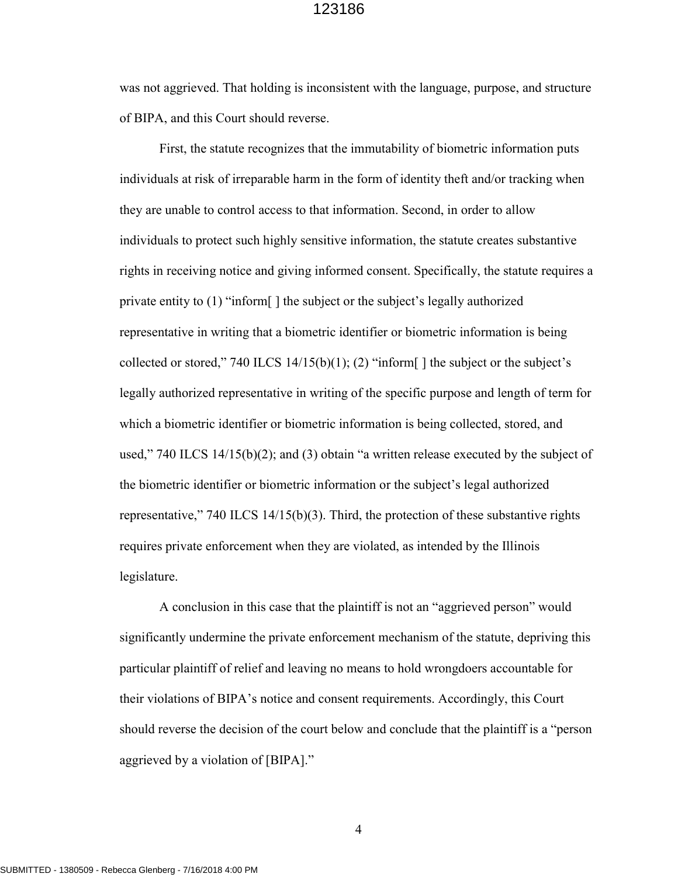was not aggrieved. That holding is inconsistent with the language, purpose, and structure of BIPA, and this Court should reverse.

First, the statute recognizes that the immutability of biometric information puts individuals at risk of irreparable harm in the form of identity theft and/or tracking when they are unable to control access to that information. Second, in order to allow individuals to protect such highly sensitive information, the statute creates substantive rights in receiving notice and giving informed consent. Specifically, the statute requires a private entity to (1) "inform[ ] the subject or the subject's legally authorized representative in writing that a biometric identifier or biometric information is being collected or stored," 740 ILCS 14/15(b)(1); (2) "inform[] the subject or the subject's legally authorized representative in writing of the specific purpose and length of term for which a biometric identifier or biometric information is being collected, stored, and used," 740 ILCS 14/15(b)(2); and (3) obtain "a written release executed by the subject of the biometric identifier or biometric information or the subject's legal authorized representative," 740 ILCS  $14/15(b)(3)$ . Third, the protection of these substantive rights requires private enforcement when they are violated, as intended by the Illinois legislature.

A conclusion in this case that the plaintiff is not an "aggrieved person" would significantly undermine the private enforcement mechanism of the statute, depriving this particular plaintiff of relief and leaving no means to hold wrongdoers accountable for their violations of BIPA's notice and consent requirements. Accordingly, this Court should reverse the decision of the court below and conclude that the plaintiff is a "person aggrieved by a violation of [BIPA]."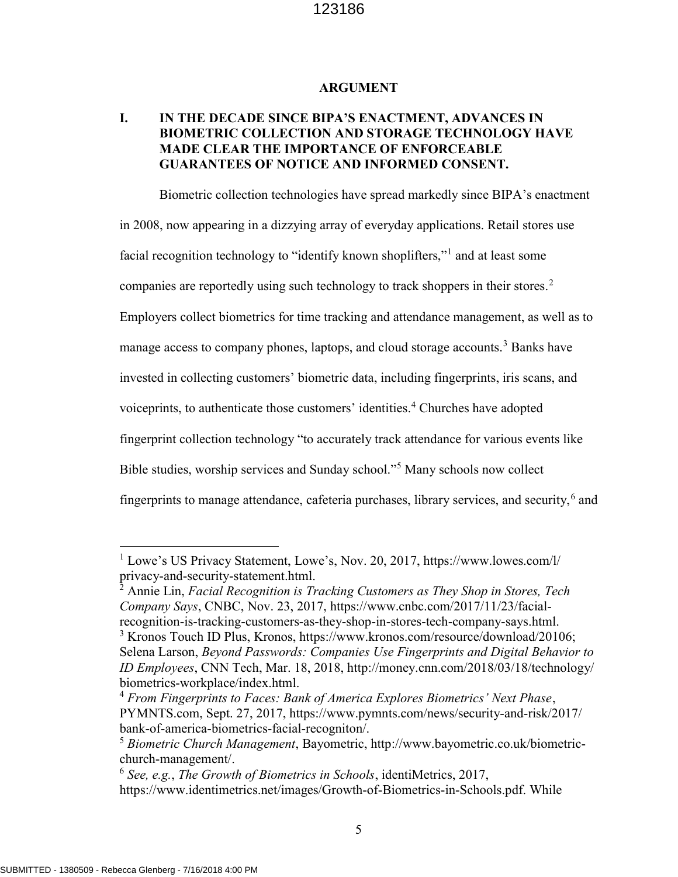#### ARGUMENT

## I. IN THE DECADE SINCE BIPA'S ENACTMENT, ADVANCES IN BIOMETRIC COLLECTION AND STORAGE TECHNOLOGY HAVE MADE CLEAR THE IMPORTANCE OF ENFORCEABLE GUARANTEES OF NOTICE AND INFORMED CONSENT.

Biometric collection technologies have spread markedly since BIPA's enactment in 2008, now appearing in a dizzying array of everyday applications. Retail stores use facial recognition technology to "identify known shoplifters,"<sup>1</sup> and at least some companies are reportedly using such technology to track shoppers in their stores.<sup>2</sup> Employers collect biometrics for time tracking and attendance management, as well as to manage access to company phones, laptops, and cloud storage accounts.<sup>3</sup> Banks have invested in collecting customers' biometric data, including fingerprints, iris scans, and voiceprints, to authenticate those customers' identities.<sup>4</sup> Churches have adopted fingerprint collection technology "to accurately track attendance for various events like Bible studies, worship services and Sunday school."<sup>5</sup> Many schools now collect fingerprints to manage attendance, cafeteria purchases, library services, and security,  $6$  and

 $2$  Annie Lin, Facial Recognition is Tracking Customers as They Shop in Stores, Tech Company Says, CNBC, Nov. 23, 2017, https://www.cnbc.com/2017/11/23/facialrecognition-is-tracking-customers-as-they-shop-in-stores-tech-company-says.html. <sup>3</sup> Kronos Touch ID Plus, Kronos, https://www.kronos.com/resource/download/20106; Selena Larson, Beyond Passwords: Companies Use Fingerprints and Digital Behavior to ID Employees, CNN Tech, Mar. 18, 2018, http://money.cnn.com/2018/03/18/technology/ biometrics-workplace/index.html.

<sup>&</sup>lt;sup>1</sup> Lowe's US Privacy Statement, Lowe's, Nov. 20, 2017, https://www.lowes.com/l/ privacy-and-security-statement.html.

 $4$  From Fingerprints to Faces: Bank of America Explores Biometrics' Next Phase, PYMNTS.com, Sept. 27, 2017, https://www.pymnts.com/news/security-and-risk/2017/ bank-of-america-biometrics-facial-recogniton/.

<sup>5</sup> Biometric Church Management, Bayometric, http://www.bayometric.co.uk/biometricchurch-management/.

 $^6$  See, e.g., The Growth of Biometrics in Schools, identiMetrics, 2017, https://www.identimetrics.net/images/Growth-of-Biometrics-in-Schools.pdf. While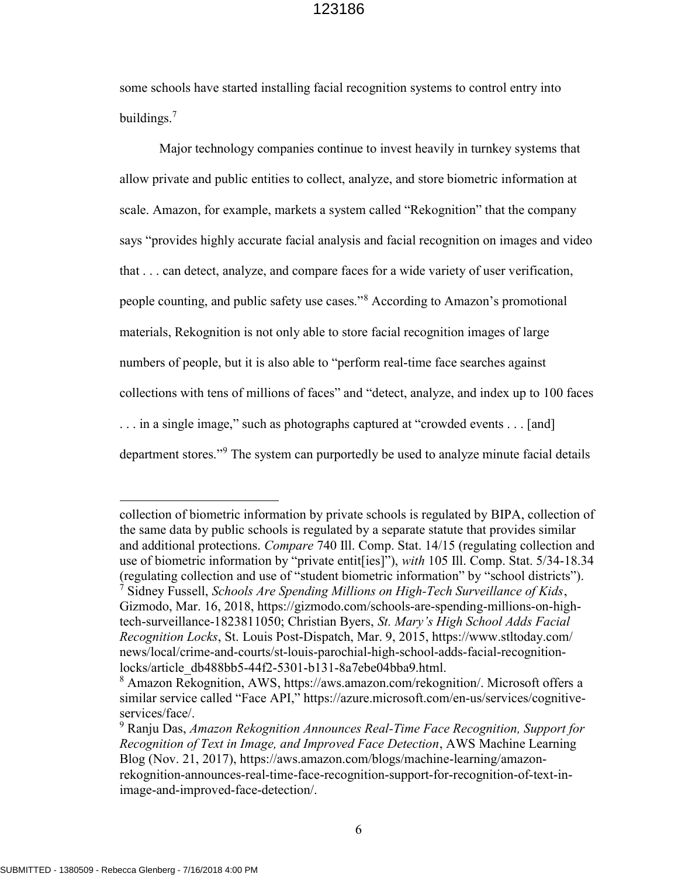some schools have started installing facial recognition systems to control entry into buildings.<sup>7</sup>

Major technology companies continue to invest heavily in turnkey systems that allow private and public entities to collect, analyze, and store biometric information at scale. Amazon, for example, markets a system called "Rekognition" that the company says "provides highly accurate facial analysis and facial recognition on images and video that . . . can detect, analyze, and compare faces for a wide variety of user verification, people counting, and public safety use cases."<sup>8</sup> According to Amazon's promotional materials, Rekognition is not only able to store facial recognition images of large numbers of people, but it is also able to "perform real-time face searches against collections with tens of millions of faces" and "detect, analyze, and index up to 100 faces . . . in a single image," such as photographs captured at "crowded events . . . [and] department stores."<sup>9</sup> The system can purportedly be used to analyze minute facial details

collection of biometric information by private schools is regulated by BIPA, collection of the same data by public schools is regulated by a separate statute that provides similar and additional protections. Compare 740 Ill. Comp. Stat. 14/15 (regulating collection and use of biometric information by "private entit[ies]"), with 105 Ill. Comp. Stat. 5/34-18.34 (regulating collection and use of "student biometric information" by "school districts"). <sup>7</sup> Sidney Fussell, Schools Are Spending Millions on High-Tech Surveillance of Kids, Gizmodo, Mar. 16, 2018, https://gizmodo.com/schools-are-spending-millions-on-hightech-surveillance-1823811050; Christian Byers, St. Mary's High School Adds Facial Recognition Locks, St. Louis Post-Dispatch, Mar. 9, 2015, https://www.stltoday.com/ news/local/crime-and-courts/st-louis-parochial-high-school-adds-facial-recognitionlocks/article\_db488bb5-44f2-5301-b131-8a7ebe04bba9.html.

<sup>8</sup> Amazon Rekognition, AWS, https://aws.amazon.com/rekognition/. Microsoft offers a similar service called "Face API," https://azure.microsoft.com/en-us/services/cognitiveservices/face/.

 $9$  Ranju Das, Amazon Rekognition Announces Real-Time Face Recognition, Support for Recognition of Text in Image, and Improved Face Detection, AWS Machine Learning Blog (Nov. 21, 2017), https://aws.amazon.com/blogs/machine-learning/amazonrekognition-announces-real-time-face-recognition-support-for-recognition-of-text-inimage-and-improved-face-detection/.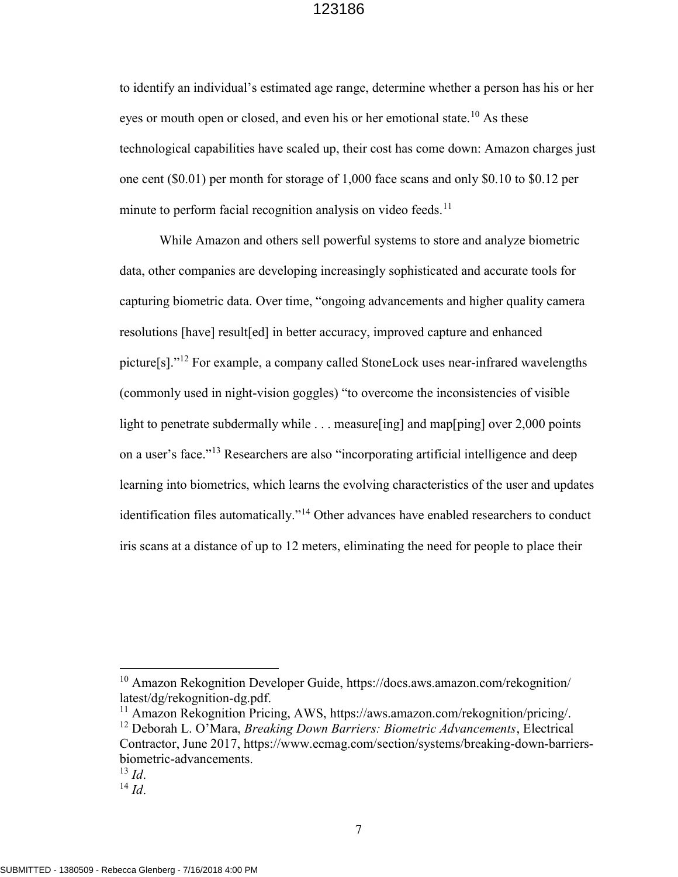to identify an individual's estimated age range, determine whether a person has his or her eyes or mouth open or closed, and even his or her emotional state.<sup>10</sup> As these technological capabilities have scaled up, their cost has come down: Amazon charges just one cent (\$0.01) per month for storage of 1,000 face scans and only \$0.10 to \$0.12 per minute to perform facial recognition analysis on video feeds. $11$ 

While Amazon and others sell powerful systems to store and analyze biometric data, other companies are developing increasingly sophisticated and accurate tools for capturing biometric data. Over time, "ongoing advancements and higher quality camera resolutions [have] result[ed] in better accuracy, improved capture and enhanced picture[s]."<sup>12</sup> For example, a company called StoneLock uses near-infrared wavelengths (commonly used in night-vision goggles) "to overcome the inconsistencies of visible light to penetrate subdermally while . . . measure [ing] and map[ping] over 2,000 points on a user's face."<sup>13</sup> Researchers are also "incorporating artificial intelligence and deep learning into biometrics, which learns the evolving characteristics of the user and updates identification files automatically."<sup>14</sup> Other advances have enabled researchers to conduct iris scans at a distance of up to 12 meters, eliminating the need for people to place their

<sup>10</sup> Amazon Rekognition Developer Guide, https://docs.aws.amazon.com/rekognition/ latest/dg/rekognition-dg.pdf.

<sup>11</sup> Amazon Rekognition Pricing, AWS, https://aws.amazon.com/rekognition/pricing/. <sup>12</sup> Deborah L. O'Mara, *Breaking Down Barriers: Biometric Advancements*, Electrical Contractor, June 2017, https://www.ecmag.com/section/systems/breaking-down-barriersbiometric-advancements.

 $^{13}$  Id.

 $^{14}$  *Id.*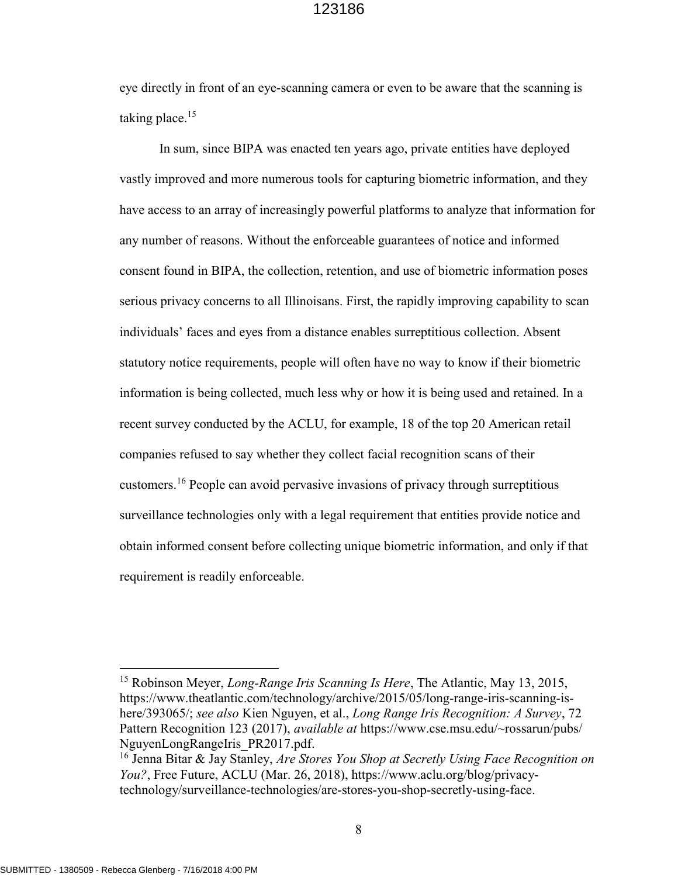eye directly in front of an eye-scanning camera or even to be aware that the scanning is taking place. $15$ 

In sum, since BIPA was enacted ten years ago, private entities have deployed vastly improved and more numerous tools for capturing biometric information, and they have access to an array of increasingly powerful platforms to analyze that information for any number of reasons. Without the enforceable guarantees of notice and informed consent found in BIPA, the collection, retention, and use of biometric information poses serious privacy concerns to all Illinoisans. First, the rapidly improving capability to scan individuals' faces and eyes from a distance enables surreptitious collection. Absent statutory notice requirements, people will often have no way to know if their biometric information is being collected, much less why or how it is being used and retained. In a recent survey conducted by the ACLU, for example, 18 of the top 20 American retail companies refused to say whether they collect facial recognition scans of their customers.<sup>16</sup> People can avoid pervasive invasions of privacy through surreptitious surveillance technologies only with a legal requirement that entities provide notice and obtain informed consent before collecting unique biometric information, and only if that requirement is readily enforceable.

-

<sup>&</sup>lt;sup>15</sup> Robinson Meyer, *Long-Range Iris Scanning Is Here*, The Atlantic, May 13, 2015, https://www.theatlantic.com/technology/archive/2015/05/long-range-iris-scanning-ishere/393065/; see also Kien Nguyen, et al., Long Range Iris Recognition: A Survey, 72 Pattern Recognition 123 (2017), available at https://www.cse.msu.edu/~rossarun/pubs/ NguyenLongRangeIris\_PR2017.pdf.

<sup>&</sup>lt;sup>16</sup> Jenna Bitar & Jay Stanley, Are Stores You Shop at Secretly Using Face Recognition on You?, Free Future, ACLU (Mar. 26, 2018), https://www.aclu.org/blog/privacytechnology/surveillance-technologies/are-stores-you-shop-secretly-using-face.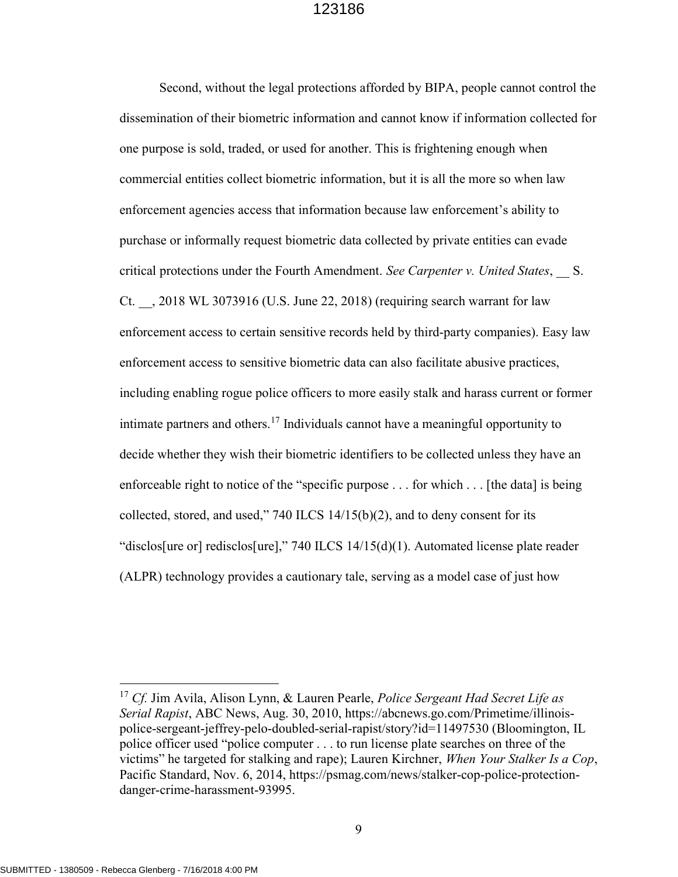Second, without the legal protections afforded by BIPA, people cannot control the dissemination of their biometric information and cannot know if information collected for one purpose is sold, traded, or used for another. This is frightening enough when commercial entities collect biometric information, but it is all the more so when law enforcement agencies access that information because law enforcement's ability to purchase or informally request biometric data collected by private entities can evade critical protections under the Fourth Amendment. See Carpenter v. United States, S. Ct. \_\_, 2018 WL 3073916 (U.S. June 22, 2018) (requiring search warrant for law enforcement access to certain sensitive records held by third-party companies). Easy law enforcement access to sensitive biometric data can also facilitate abusive practices, including enabling rogue police officers to more easily stalk and harass current or former intimate partners and others.<sup>17</sup> Individuals cannot have a meaningful opportunity to decide whether they wish their biometric identifiers to be collected unless they have an enforceable right to notice of the "specific purpose . . . for which . . . [the data] is being collected, stored, and used," 740 ILCS 14/15(b)(2), and to deny consent for its "disclos[ure or] redisclos[ure]," 740 ILCS 14/15(d)(1). Automated license plate reader (ALPR) technology provides a cautionary tale, serving as a model case of just how

-

<sup>&</sup>lt;sup>17</sup> Cf. Jim Avila, Alison Lynn, & Lauren Pearle, *Police Sergeant Had Secret Life as* Serial Rapist, ABC News, Aug. 30, 2010, https://abcnews.go.com/Primetime/illinoispolice-sergeant-jeffrey-pelo-doubled-serial-rapist/story?id=11497530 (Bloomington, IL police officer used "police computer . . . to run license plate searches on three of the victims" he targeted for stalking and rape); Lauren Kirchner, When Your Stalker Is a Cop, Pacific Standard, Nov. 6, 2014, https://psmag.com/news/stalker-cop-police-protectiondanger-crime-harassment-93995.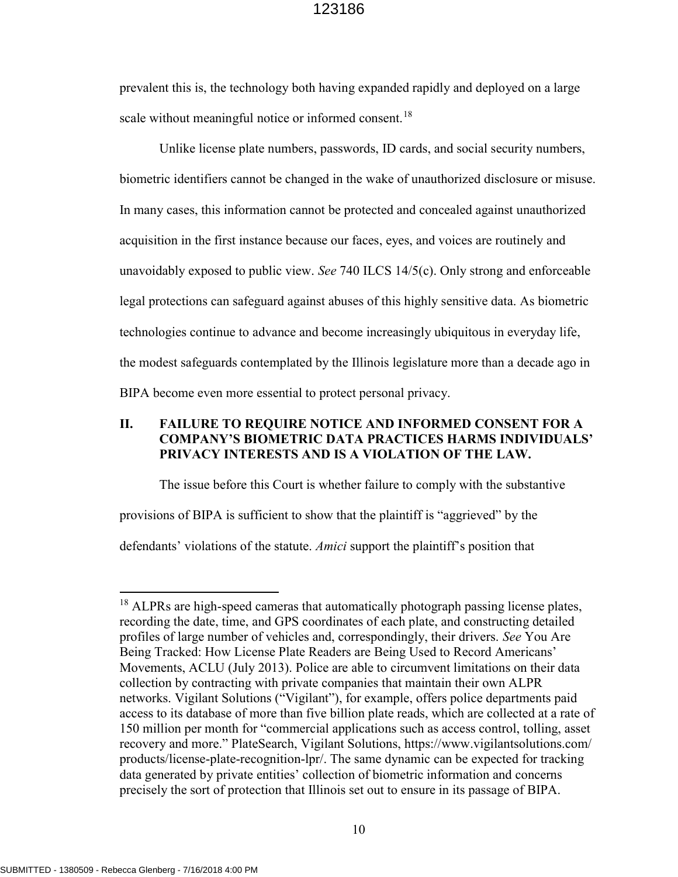prevalent this is, the technology both having expanded rapidly and deployed on a large scale without meaningful notice or informed consent.<sup>18</sup>

Unlike license plate numbers, passwords, ID cards, and social security numbers, biometric identifiers cannot be changed in the wake of unauthorized disclosure or misuse. In many cases, this information cannot be protected and concealed against unauthorized acquisition in the first instance because our faces, eyes, and voices are routinely and unavoidably exposed to public view. See 740 ILCS 14/5(c). Only strong and enforceable legal protections can safeguard against abuses of this highly sensitive data. As biometric technologies continue to advance and become increasingly ubiquitous in everyday life, the modest safeguards contemplated by the Illinois legislature more than a decade ago in BIPA become even more essential to protect personal privacy.

### II. FAILURE TO REQUIRE NOTICE AND INFORMED CONSENT FOR A COMPANY'S BIOMETRIC DATA PRACTICES HARMS INDIVIDUALS' PRIVACY INTERESTS AND IS A VIOLATION OF THE LAW.

The issue before this Court is whether failure to comply with the substantive provisions of BIPA is sufficient to show that the plaintiff is "aggrieved" by the defendants' violations of the statute. Amici support the plaintiff's position that

<sup>&</sup>lt;sup>18</sup> ALPRs are high-speed cameras that automatically photograph passing license plates, recording the date, time, and GPS coordinates of each plate, and constructing detailed profiles of large number of vehicles and, correspondingly, their drivers. See You Are Being Tracked: How License Plate Readers are Being Used to Record Americans' Movements, ACLU (July 2013). Police are able to circumvent limitations on their data collection by contracting with private companies that maintain their own ALPR networks. Vigilant Solutions ("Vigilant"), for example, offers police departments paid access to its database of more than five billion plate reads, which are collected at a rate of 150 million per month for "commercial applications such as access control, tolling, asset recovery and more." PlateSearch, Vigilant Solutions, https://www.vigilantsolutions.com/ products/license-plate-recognition-lpr/. The same dynamic can be expected for tracking data generated by private entities' collection of biometric information and concerns precisely the sort of protection that Illinois set out to ensure in its passage of BIPA.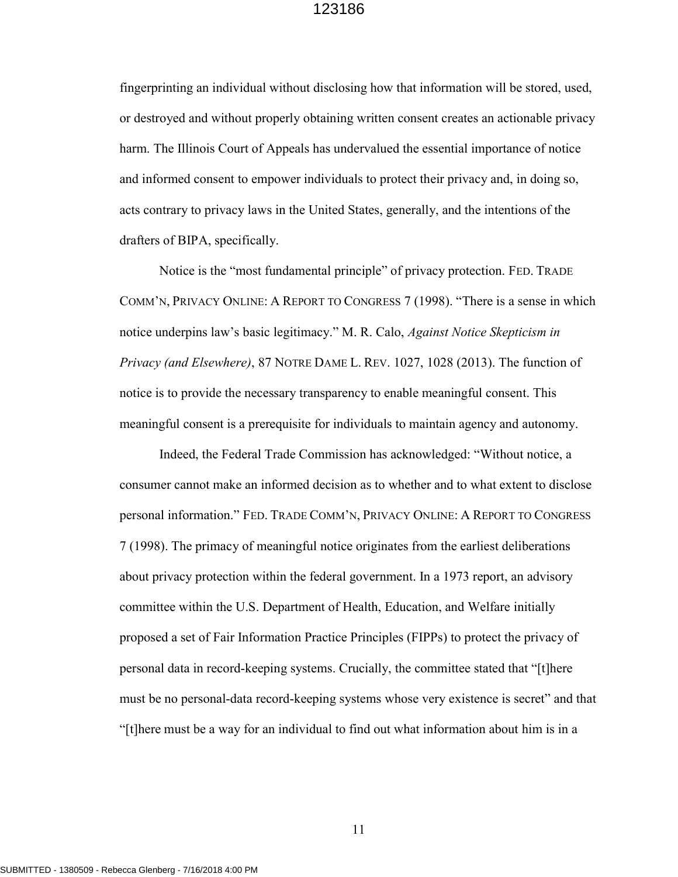fingerprinting an individual without disclosing how that information will be stored, used, or destroyed and without properly obtaining written consent creates an actionable privacy harm. The Illinois Court of Appeals has undervalued the essential importance of notice and informed consent to empower individuals to protect their privacy and, in doing so, acts contrary to privacy laws in the United States, generally, and the intentions of the drafters of BIPA, specifically.

Notice is the "most fundamental principle" of privacy protection. FED. TRADE COMM'N, PRIVACY ONLINE: A REPORT TO CONGRESS 7 (1998). "There is a sense in which notice underpins law's basic legitimacy." M. R. Calo, *Against Notice Skepticism in* Privacy (and Elsewhere), 87 NOTRE DAME L. REV. 1027, 1028 (2013). The function of notice is to provide the necessary transparency to enable meaningful consent. This meaningful consent is a prerequisite for individuals to maintain agency and autonomy.

Indeed, the Federal Trade Commission has acknowledged: "Without notice, a consumer cannot make an informed decision as to whether and to what extent to disclose personal information." FED. TRADE COMM'N, PRIVACY ONLINE: A REPORT TO CONGRESS 7 (1998). The primacy of meaningful notice originates from the earliest deliberations about privacy protection within the federal government. In a 1973 report, an advisory committee within the U.S. Department of Health, Education, and Welfare initially proposed a set of Fair Information Practice Principles (FIPPs) to protect the privacy of personal data in record-keeping systems. Crucially, the committee stated that "[t]here must be no personal-data record-keeping systems whose very existence is secret" and that "[t]here must be a way for an individual to find out what information about him is in a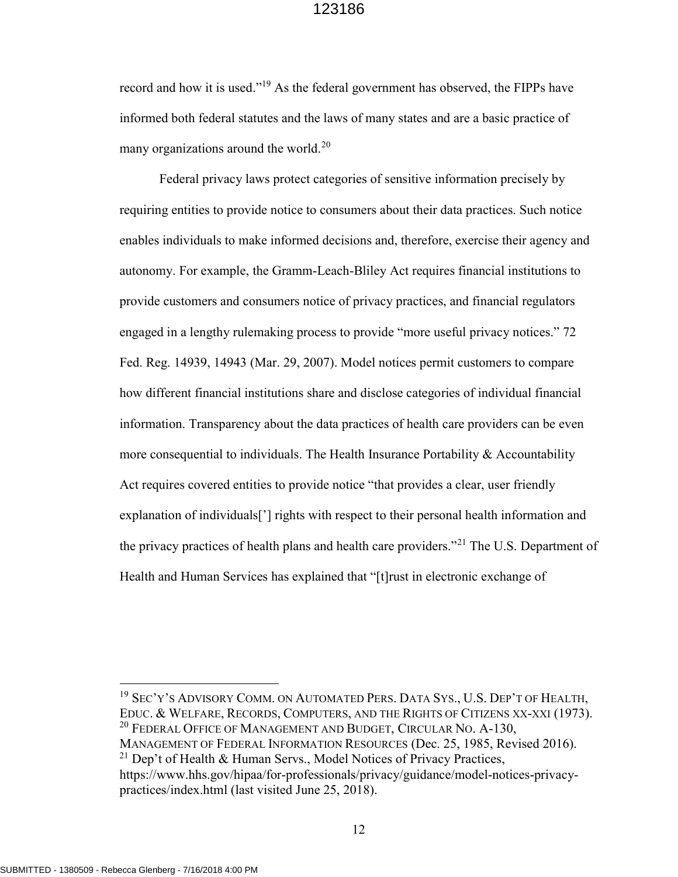record and how it is used."<sup>19</sup> As the federal government has observed, the FIPPs have informed both federal statutes and the laws of many states and are a basic practice of many organizations around the world.<sup>20</sup>

Federal privacy laws protect categories of sensitive information precisely by requiring entities to provide notice to consumers about their data practices. Such notice enables individuals to make informed decisions and, therefore, exercise their agency and autonomy. For example, the Gramm-Leach-Bliley Act requires financial institutions to provide customers and consumers notice of privacy practices, and financial regulators engaged in a lengthy rulemaking process to provide "more useful privacy notices." 72 Fed. Reg. 14939, 14943 (Mar. 29, 2007). Model notices permit customers to compare how different financial institutions share and disclose categories of individual financial information. Transparency about the data practices of health care providers can be even more consequential to individuals. The Health Insurance Portability & Accountability Act requires covered entities to provide notice "that provides a clear, user friendly explanation of individuals<sup>[']</sup> rights with respect to their personal health information and the privacy practices of health plans and health care providers."<sup>21</sup> The U.S. Department of Health and Human Services has explained that "[t]rust in electronic exchange of

<sup>19</sup> SEC'Y'S ADVISORY COMM. ON AUTOMATED PERS. DATA SYS., U.S. DEP'T OF HEALTH, EDUC. & WELFARE, RECORDS, COMPUTERS, AND THE RIGHTS OF CITIZENS XX-XXI (1973). <sup>20</sup> FEDERAL OFFICE OF MANAGEMENT AND BUDGET, CIRCULAR NO. A-130, MANAGEMENT OF FEDERAL INFORMATION RESOURCES (Dec. 25, 1985, Revised 2016).

12

-

<sup>&</sup>lt;sup>21</sup> Dep't of Health & Human Servs., Model Notices of Privacy Practices, https://www.hhs.gov/hipaa/for-professionals/privacy/guidance/model-notices-privacypractices/index.html (last visited June 25, 2018).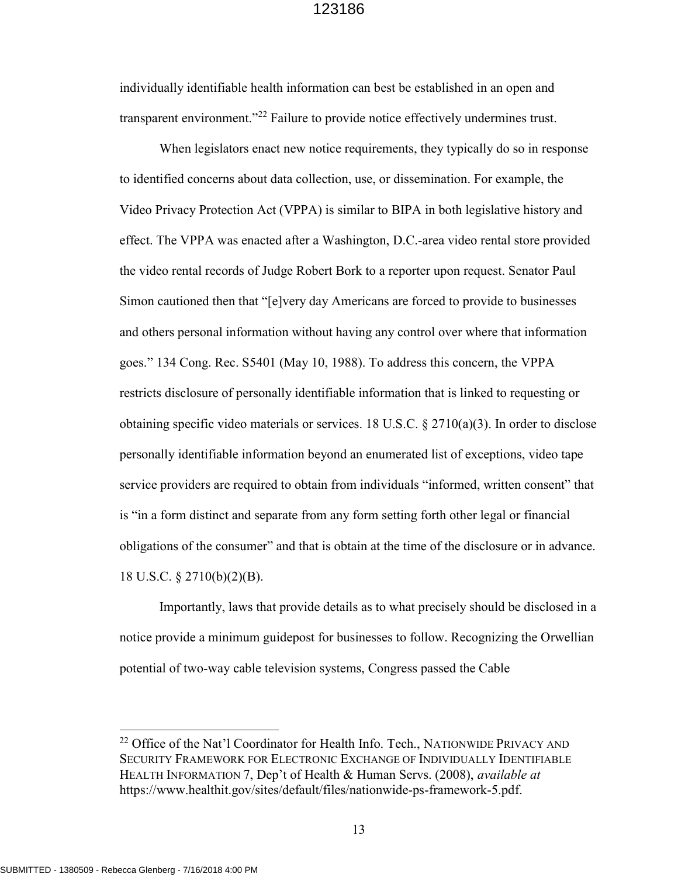individually identifiable health information can best be established in an open and transparent environment."<sup>22</sup> Failure to provide notice effectively undermines trust.

When legislators enact new notice requirements, they typically do so in response to identified concerns about data collection, use, or dissemination. For example, the Video Privacy Protection Act (VPPA) is similar to BIPA in both legislative history and effect. The VPPA was enacted after a Washington, D.C.-area video rental store provided the video rental records of Judge Robert Bork to a reporter upon request. Senator Paul Simon cautioned then that "[e]very day Americans are forced to provide to businesses and others personal information without having any control over where that information goes." 134 Cong. Rec. S5401 (May 10, 1988). To address this concern, the VPPA restricts disclosure of personally identifiable information that is linked to requesting or obtaining specific video materials or services. 18 U.S.C.  $\S 2710(a)(3)$ . In order to disclose personally identifiable information beyond an enumerated list of exceptions, video tape service providers are required to obtain from individuals "informed, written consent" that is "in a form distinct and separate from any form setting forth other legal or financial obligations of the consumer" and that is obtain at the time of the disclosure or in advance. 18 U.S.C. § 2710(b)(2)(B).

Importantly, laws that provide details as to what precisely should be disclosed in a notice provide a minimum guidepost for businesses to follow. Recognizing the Orwellian potential of two-way cable television systems, Congress passed the Cable

<sup>&</sup>lt;sup>22</sup> Office of the Nat'l Coordinator for Health Info. Tech., NATIONWIDE PRIVACY AND SECURITY FRAMEWORK FOR ELECTRONIC EXCHANGE OF INDIVIDUALLY IDENTIFIABLE HEALTH INFORMATION 7, Dep't of Health & Human Servs. (2008), *available at* https://www.healthit.gov/sites/default/files/nationwide-ps-framework-5.pdf.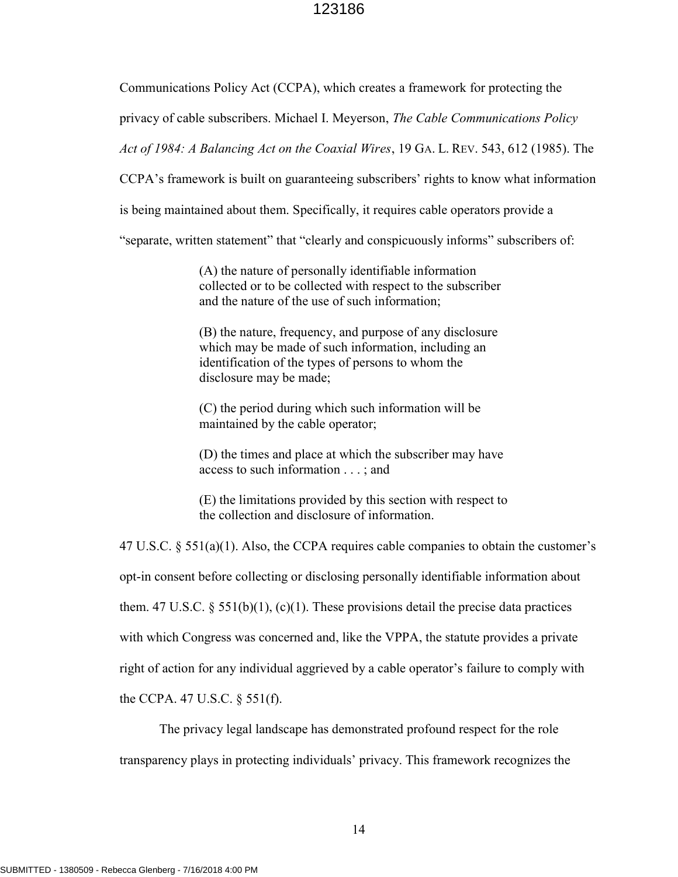Communications Policy Act (CCPA), which creates a framework for protecting the

privacy of cable subscribers. Michael I. Meyerson, The Cable Communications Policy

Act of 1984: A Balancing Act on the Coaxial Wires, 19 GA. L. REV. 543, 612 (1985). The

CCPA's framework is built on guaranteeing subscribers' rights to know what information

is being maintained about them. Specifically, it requires cable operators provide a

"separate, written statement" that "clearly and conspicuously informs" subscribers of:

(A) the nature of personally identifiable information collected or to be collected with respect to the subscriber and the nature of the use of such information;

(B) the nature, frequency, and purpose of any disclosure which may be made of such information, including an identification of the types of persons to whom the disclosure may be made;

(C) the period during which such information will be maintained by the cable operator;

(D) the times and place at which the subscriber may have access to such information . . . ; and

(E) the limitations provided by this section with respect to the collection and disclosure of information.

47 U.S.C.  $\S 551(a)(1)$ . Also, the CCPA requires cable companies to obtain the customer's opt-in consent before collecting or disclosing personally identifiable information about them. 47 U.S.C.  $\S$  551(b)(1), (c)(1). These provisions detail the precise data practices with which Congress was concerned and, like the VPPA, the statute provides a private right of action for any individual aggrieved by a cable operator's failure to comply with the CCPA. 47 U.S.C. § 551(f).

The privacy legal landscape has demonstrated profound respect for the role transparency plays in protecting individuals' privacy. This framework recognizes the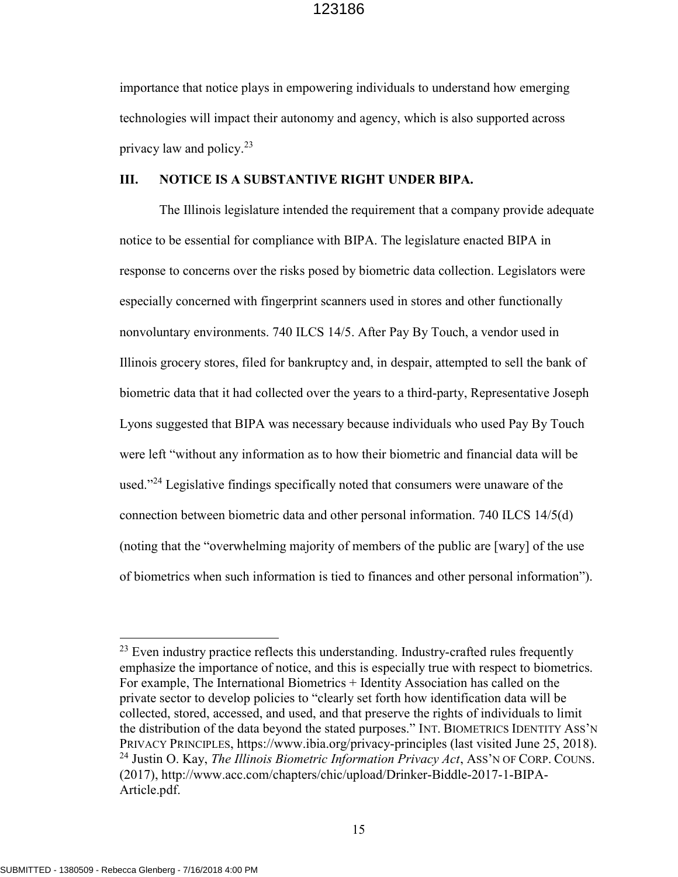importance that notice plays in empowering individuals to understand how emerging technologies will impact their autonomy and agency, which is also supported across privacy law and policy.<sup>23</sup>

#### III. NOTICE IS A SUBSTANTIVE RIGHT UNDER BIPA.

The Illinois legislature intended the requirement that a company provide adequate notice to be essential for compliance with BIPA. The legislature enacted BIPA in response to concerns over the risks posed by biometric data collection. Legislators were especially concerned with fingerprint scanners used in stores and other functionally nonvoluntary environments. 740 ILCS 14/5. After Pay By Touch, a vendor used in Illinois grocery stores, filed for bankruptcy and, in despair, attempted to sell the bank of biometric data that it had collected over the years to a third-party, Representative Joseph Lyons suggested that BIPA was necessary because individuals who used Pay By Touch were left "without any information as to how their biometric and financial data will be used."<sup>24</sup> Legislative findings specifically noted that consumers were unaware of the connection between biometric data and other personal information. 740 ILCS 14/5(d) (noting that the "overwhelming majority of members of the public are [wary] of the use of biometrics when such information is tied to finances and other personal information").

-

 $23$  Even industry practice reflects this understanding. Industry-crafted rules frequently emphasize the importance of notice, and this is especially true with respect to biometrics. For example, The International Biometrics + Identity Association has called on the private sector to develop policies to "clearly set forth how identification data will be collected, stored, accessed, and used, and that preserve the rights of individuals to limit the distribution of the data beyond the stated purposes." INT. BIOMETRICS IDENTITY ASS'N PRIVACY PRINCIPLES, https://www.ibia.org/privacy-principles (last visited June 25, 2018). <sup>24</sup> Justin O. Kay, *The Illinois Biometric Information Privacy Act*, Ass'N OF CORP. COUNS. (2017), http://www.acc.com/chapters/chic/upload/Drinker-Biddle-2017-1-BIPA-Article.pdf.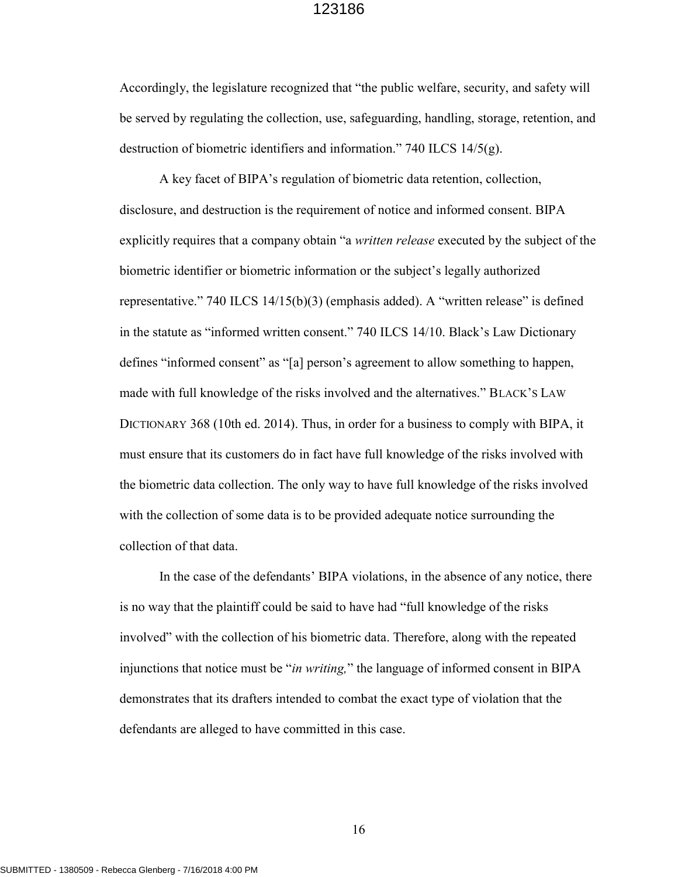Accordingly, the legislature recognized that "the public welfare, security, and safety will be served by regulating the collection, use, safeguarding, handling, storage, retention, and destruction of biometric identifiers and information." 740 ILCS 14/5(g).

A key facet of BIPA's regulation of biometric data retention, collection, disclosure, and destruction is the requirement of notice and informed consent. BIPA explicitly requires that a company obtain "a *written release* executed by the subject of the biometric identifier or biometric information or the subject's legally authorized representative." 740 ILCS 14/15(b)(3) (emphasis added). A "written release" is defined in the statute as "informed written consent." 740 ILCS 14/10. Black's Law Dictionary defines "informed consent" as "[a] person's agreement to allow something to happen, made with full knowledge of the risks involved and the alternatives." BLACK'S LAW DICTIONARY 368 (10th ed. 2014). Thus, in order for a business to comply with BIPA, it must ensure that its customers do in fact have full knowledge of the risks involved with the biometric data collection. The only way to have full knowledge of the risks involved with the collection of some data is to be provided adequate notice surrounding the collection of that data.

In the case of the defendants' BIPA violations, in the absence of any notice, there is no way that the plaintiff could be said to have had "full knowledge of the risks involved" with the collection of his biometric data. Therefore, along with the repeated injunctions that notice must be "in writing," the language of informed consent in BIPA demonstrates that its drafters intended to combat the exact type of violation that the defendants are alleged to have committed in this case.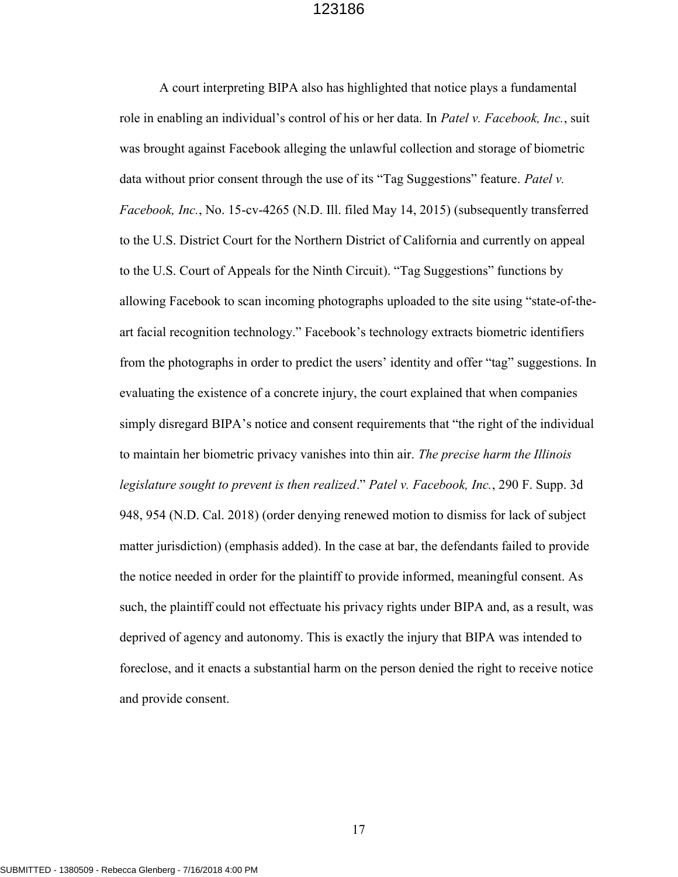A court interpreting BIPA also has highlighted that notice plays a fundamental role in enabling an individual's control of his or her data. In Patel v. Facebook, Inc., suit was brought against Facebook alleging the unlawful collection and storage of biometric data without prior consent through the use of its "Tag Suggestions" feature. Patel v. Facebook, Inc., No. 15-cv-4265 (N.D. Ill. filed May 14, 2015) (subsequently transferred to the U.S. District Court for the Northern District of California and currently on appeal to the U.S. Court of Appeals for the Ninth Circuit). "Tag Suggestions" functions by allowing Facebook to scan incoming photographs uploaded to the site using "state-of-theart facial recognition technology." Facebook's technology extracts biometric identifiers from the photographs in order to predict the users' identity and offer "tag" suggestions. In evaluating the existence of a concrete injury, the court explained that when companies simply disregard BIPA's notice and consent requirements that "the right of the individual to maintain her biometric privacy vanishes into thin air. The precise harm the Illinois legislature sought to prevent is then realized." Patel v. Facebook, Inc., 290 F. Supp. 3d 948, 954 (N.D. Cal. 2018) (order denying renewed motion to dismiss for lack of subject matter jurisdiction) (emphasis added). In the case at bar, the defendants failed to provide the notice needed in order for the plaintiff to provide informed, meaningful consent. As such, the plaintiff could not effectuate his privacy rights under BIPA and, as a result, was deprived of agency and autonomy. This is exactly the injury that BIPA was intended to foreclose, and it enacts a substantial harm on the person denied the right to receive notice and provide consent.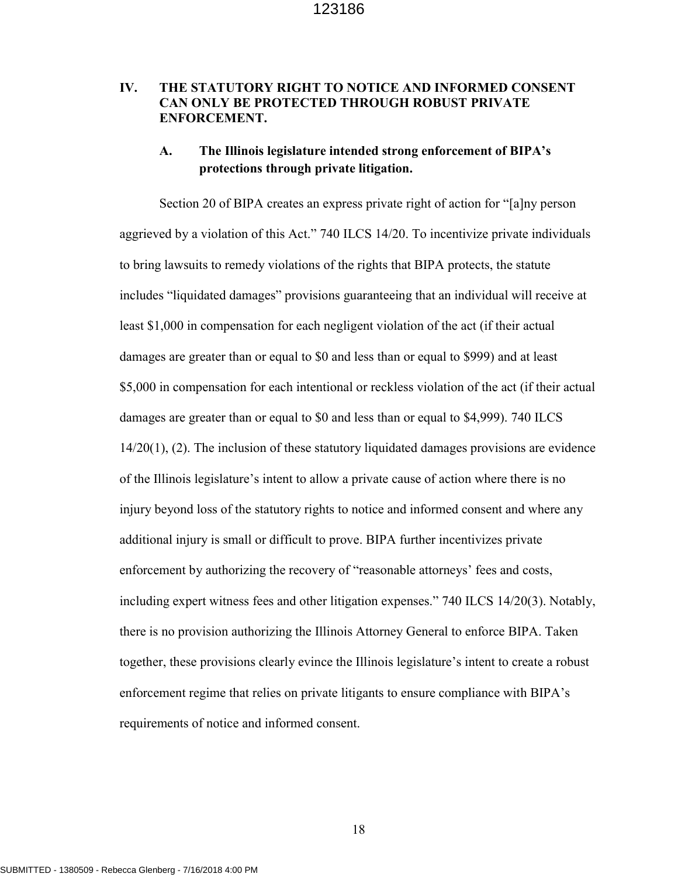## IV. THE STATUTORY RIGHT TO NOTICE AND INFORMED CONSENT CAN ONLY BE PROTECTED THROUGH ROBUST PRIVATE ENFORCEMENT.

## A. The Illinois legislature intended strong enforcement of BIPA's protections through private litigation.

Section 20 of BIPA creates an express private right of action for "[a]ny person aggrieved by a violation of this Act." 740 ILCS 14/20. To incentivize private individuals to bring lawsuits to remedy violations of the rights that BIPA protects, the statute includes "liquidated damages" provisions guaranteeing that an individual will receive at least \$1,000 in compensation for each negligent violation of the act (if their actual damages are greater than or equal to \$0 and less than or equal to \$999) and at least \$5,000 in compensation for each intentional or reckless violation of the act (if their actual damages are greater than or equal to \$0 and less than or equal to \$4,999). 740 ILCS 14/20(1), (2). The inclusion of these statutory liquidated damages provisions are evidence of the Illinois legislature's intent to allow a private cause of action where there is no injury beyond loss of the statutory rights to notice and informed consent and where any additional injury is small or difficult to prove. BIPA further incentivizes private enforcement by authorizing the recovery of "reasonable attorneys' fees and costs, including expert witness fees and other litigation expenses." 740 ILCS 14/20(3). Notably, there is no provision authorizing the Illinois Attorney General to enforce BIPA. Taken together, these provisions clearly evince the Illinois legislature's intent to create a robust enforcement regime that relies on private litigants to ensure compliance with BIPA's requirements of notice and informed consent.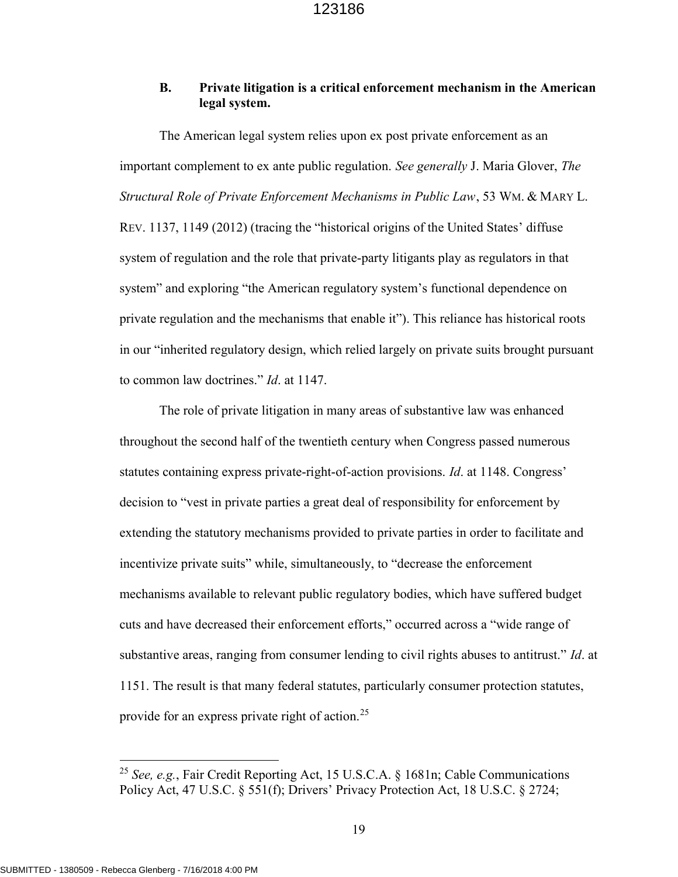### B. Private litigation is a critical enforcement mechanism in the American legal system.

The American legal system relies upon ex post private enforcement as an important complement to ex ante public regulation. See generally J. Maria Glover, The Structural Role of Private Enforcement Mechanisms in Public Law, 53 WM. & MARY L. REV. 1137, 1149 (2012) (tracing the "historical origins of the United States' diffuse system of regulation and the role that private-party litigants play as regulators in that system" and exploring "the American regulatory system's functional dependence on private regulation and the mechanisms that enable it"). This reliance has historical roots in our "inherited regulatory design, which relied largely on private suits brought pursuant to common law doctrines." Id. at 1147.

The role of private litigation in many areas of substantive law was enhanced throughout the second half of the twentieth century when Congress passed numerous statutes containing express private-right-of-action provisions. Id. at 1148. Congress' decision to "vest in private parties a great deal of responsibility for enforcement by extending the statutory mechanisms provided to private parties in order to facilitate and incentivize private suits" while, simultaneously, to "decrease the enforcement mechanisms available to relevant public regulatory bodies, which have suffered budget cuts and have decreased their enforcement efforts," occurred across a "wide range of substantive areas, ranging from consumer lending to civil rights abuses to antitrust." Id. at 1151. The result is that many federal statutes, particularly consumer protection statutes, provide for an express private right of action.<sup>25</sup>

<sup>&</sup>lt;sup>25</sup> See, e.g., Fair Credit Reporting Act, 15 U.S.C.A. § 1681n; Cable Communications Policy Act, 47 U.S.C. § 551(f); Drivers' Privacy Protection Act, 18 U.S.C. § 2724;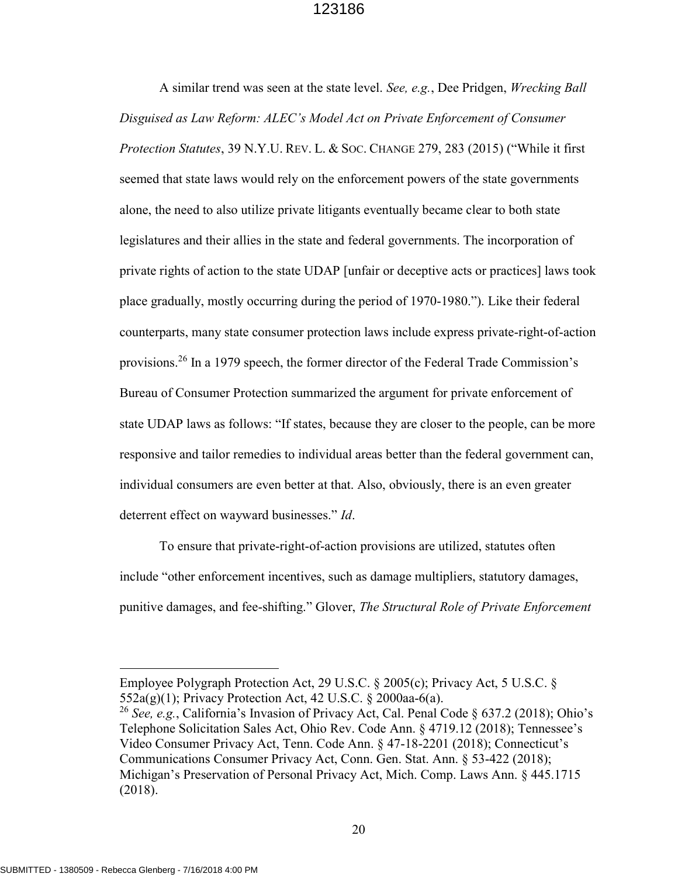A similar trend was seen at the state level. See, e.g., Dee Pridgen, Wrecking Ball Disguised as Law Reform: ALEC's Model Act on Private Enforcement of Consumer Protection Statutes, 39 N.Y.U. REV. L. & SOC. CHANGE 279, 283 (2015) ("While it first seemed that state laws would rely on the enforcement powers of the state governments alone, the need to also utilize private litigants eventually became clear to both state legislatures and their allies in the state and federal governments. The incorporation of private rights of action to the state UDAP [unfair or deceptive acts or practices] laws took place gradually, mostly occurring during the period of 1970-1980."). Like their federal counterparts, many state consumer protection laws include express private-right-of-action provisions.<sup>26</sup> In a 1979 speech, the former director of the Federal Trade Commission's Bureau of Consumer Protection summarized the argument for private enforcement of state UDAP laws as follows: "If states, because they are closer to the people, can be more responsive and tailor remedies to individual areas better than the federal government can, individual consumers are even better at that. Also, obviously, there is an even greater deterrent effect on wayward businesses." Id.

To ensure that private-right-of-action provisions are utilized, statutes often include "other enforcement incentives, such as damage multipliers, statutory damages, punitive damages, and fee-shifting." Glover, The Structural Role of Private Enforcement

Employee Polygraph Protection Act, 29 U.S.C. § 2005(c); Privacy Act, 5 U.S.C. § 552a(g)(1); Privacy Protection Act, 42 U.S.C. § 2000aa-6(a).

<sup>&</sup>lt;sup>26</sup> See, e.g., California's Invasion of Privacy Act, Cal. Penal Code § 637.2 (2018); Ohio's Telephone Solicitation Sales Act, Ohio Rev. Code Ann. § 4719.12 (2018); Tennessee's Video Consumer Privacy Act, Tenn. Code Ann. § 47-18-2201 (2018); Connecticut's Communications Consumer Privacy Act, Conn. Gen. Stat. Ann. § 53-422 (2018); Michigan's Preservation of Personal Privacy Act, Mich. Comp. Laws Ann. § 445.1715 (2018).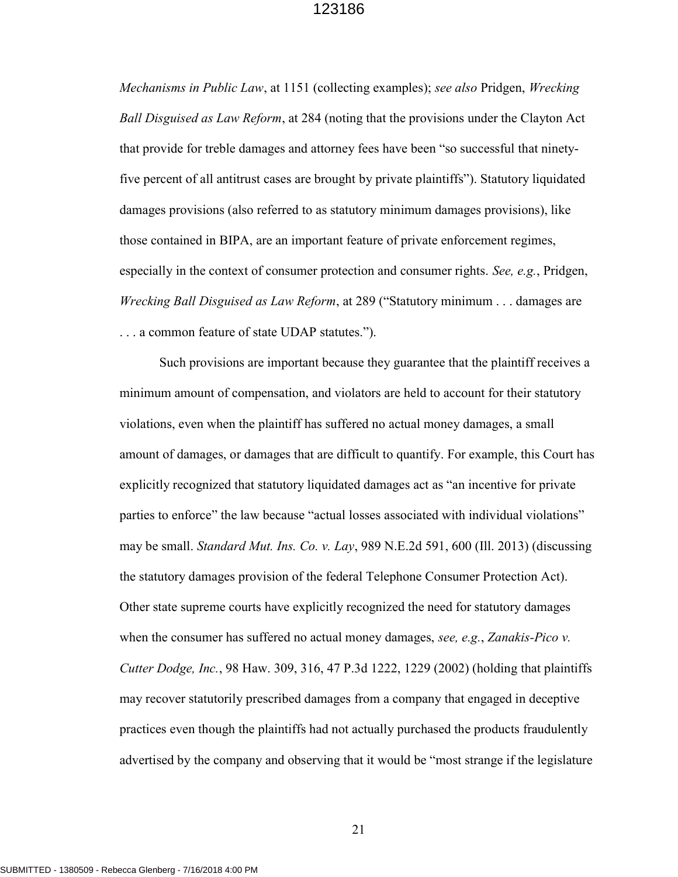Mechanisms in Public Law, at 1151 (collecting examples); see also Pridgen, Wrecking Ball Disguised as Law Reform, at 284 (noting that the provisions under the Clayton Act that provide for treble damages and attorney fees have been "so successful that ninetyfive percent of all antitrust cases are brought by private plaintiffs"). Statutory liquidated damages provisions (also referred to as statutory minimum damages provisions), like those contained in BIPA, are an important feature of private enforcement regimes, especially in the context of consumer protection and consumer rights. See, e.g., Pridgen, Wrecking Ball Disguised as Law Reform, at 289 ("Statutory minimum . . . damages are . . . a common feature of state UDAP statutes.").

Such provisions are important because they guarantee that the plaintiff receives a minimum amount of compensation, and violators are held to account for their statutory violations, even when the plaintiff has suffered no actual money damages, a small amount of damages, or damages that are difficult to quantify. For example, this Court has explicitly recognized that statutory liquidated damages act as "an incentive for private parties to enforce" the law because "actual losses associated with individual violations" may be small. *Standard Mut. Ins. Co. v. Lay*, 989 N.E.2d 591, 600 (Ill. 2013) (discussing the statutory damages provision of the federal Telephone Consumer Protection Act). Other state supreme courts have explicitly recognized the need for statutory damages when the consumer has suffered no actual money damages, see, e.g., Zanakis-Pico v. Cutter Dodge, Inc., 98 Haw. 309, 316, 47 P.3d 1222, 1229 (2002) (holding that plaintiffs may recover statutorily prescribed damages from a company that engaged in deceptive practices even though the plaintiffs had not actually purchased the products fraudulently advertised by the company and observing that it would be "most strange if the legislature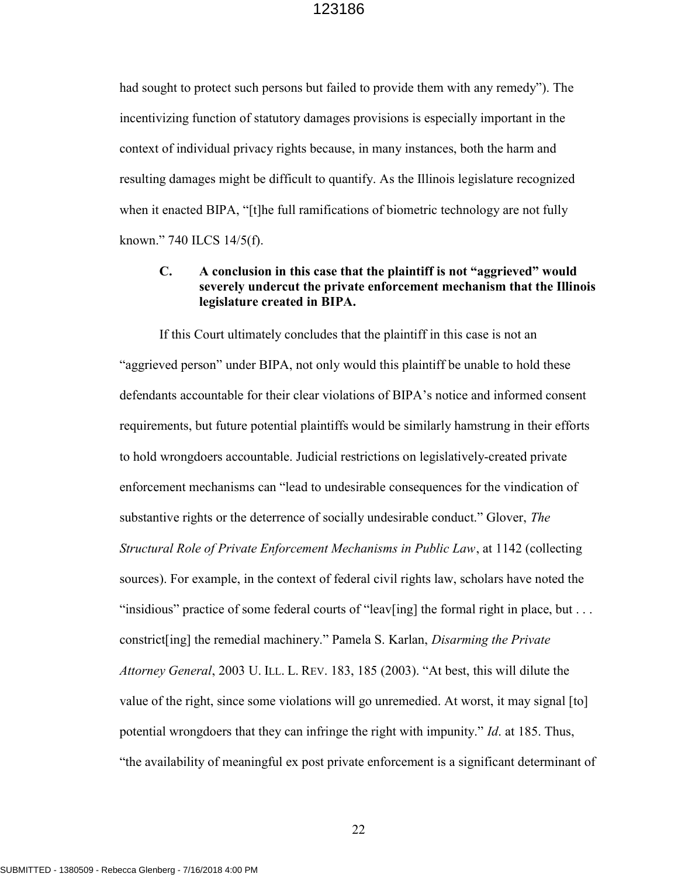had sought to protect such persons but failed to provide them with any remedy"). The incentivizing function of statutory damages provisions is especially important in the context of individual privacy rights because, in many instances, both the harm and resulting damages might be difficult to quantify. As the Illinois legislature recognized when it enacted BIPA, "[t]he full ramifications of biometric technology are not fully known." 740 ILCS 14/5(f).

### C. A conclusion in this case that the plaintiff is not "aggrieved" would severely undercut the private enforcement mechanism that the Illinois legislature created in BIPA.

If this Court ultimately concludes that the plaintiff in this case is not an "aggrieved person" under BIPA, not only would this plaintiff be unable to hold these defendants accountable for their clear violations of BIPA's notice and informed consent requirements, but future potential plaintiffs would be similarly hamstrung in their efforts to hold wrongdoers accountable. Judicial restrictions on legislatively-created private enforcement mechanisms can "lead to undesirable consequences for the vindication of substantive rights or the deterrence of socially undesirable conduct." Glover, The Structural Role of Private Enforcement Mechanisms in Public Law, at 1142 (collecting sources). For example, in the context of federal civil rights law, scholars have noted the "insidious" practice of some federal courts of "leav[ing] the formal right in place, but . . . constrict[ing] the remedial machinery." Pamela S. Karlan, Disarming the Private Attorney General, 2003 U. ILL. L. REV. 183, 185 (2003). "At best, this will dilute the value of the right, since some violations will go unremedied. At worst, it may signal [to] potential wrongdoers that they can infringe the right with impunity." Id. at 185. Thus, "the availability of meaningful ex post private enforcement is a significant determinant of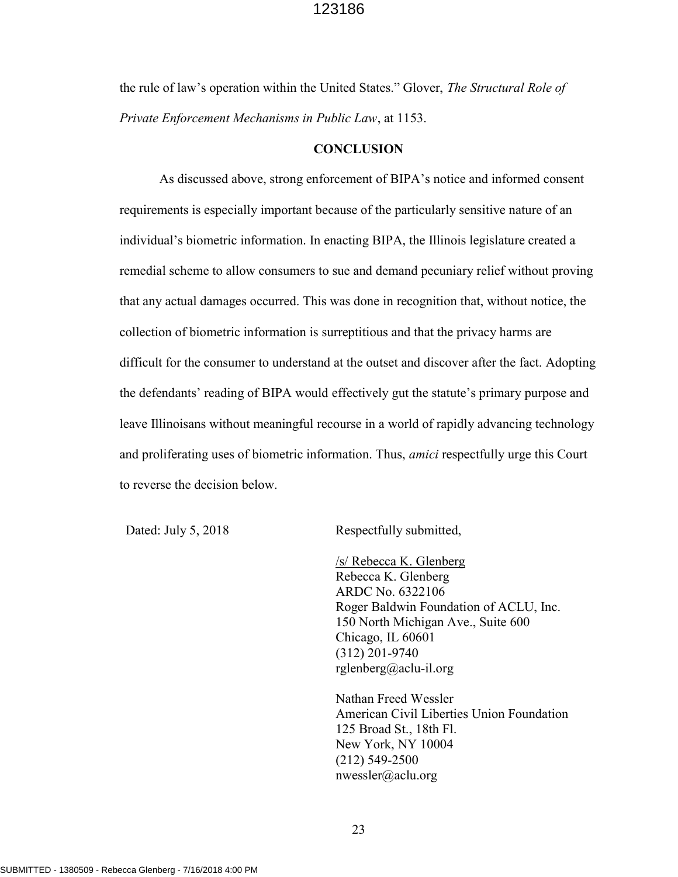the rule of law's operation within the United States." Glover, The Structural Role of Private Enforcement Mechanisms in Public Law, at 1153.

#### **CONCLUSION**

As discussed above, strong enforcement of BIPA's notice and informed consent requirements is especially important because of the particularly sensitive nature of an individual's biometric information. In enacting BIPA, the Illinois legislature created a remedial scheme to allow consumers to sue and demand pecuniary relief without proving that any actual damages occurred. This was done in recognition that, without notice, the collection of biometric information is surreptitious and that the privacy harms are difficult for the consumer to understand at the outset and discover after the fact. Adopting the defendants' reading of BIPA would effectively gut the statute's primary purpose and leave Illinoisans without meaningful recourse in a world of rapidly advancing technology and proliferating uses of biometric information. Thus, *amici* respectfully urge this Court to reverse the decision below.

Dated: July 5, 2018 Respectfully submitted,

/s/ Rebecca K. Glenberg Rebecca K. Glenberg ARDC No. 6322106 Roger Baldwin Foundation of ACLU, Inc. 150 North Michigan Ave., Suite 600 Chicago, IL 60601 (312) 201-9740 rglenberg@aclu-il.org

Nathan Freed Wessler American Civil Liberties Union Foundation 125 Broad St., 18th Fl. New York, NY 10004 (212) 549-2500 nwessler@aclu.org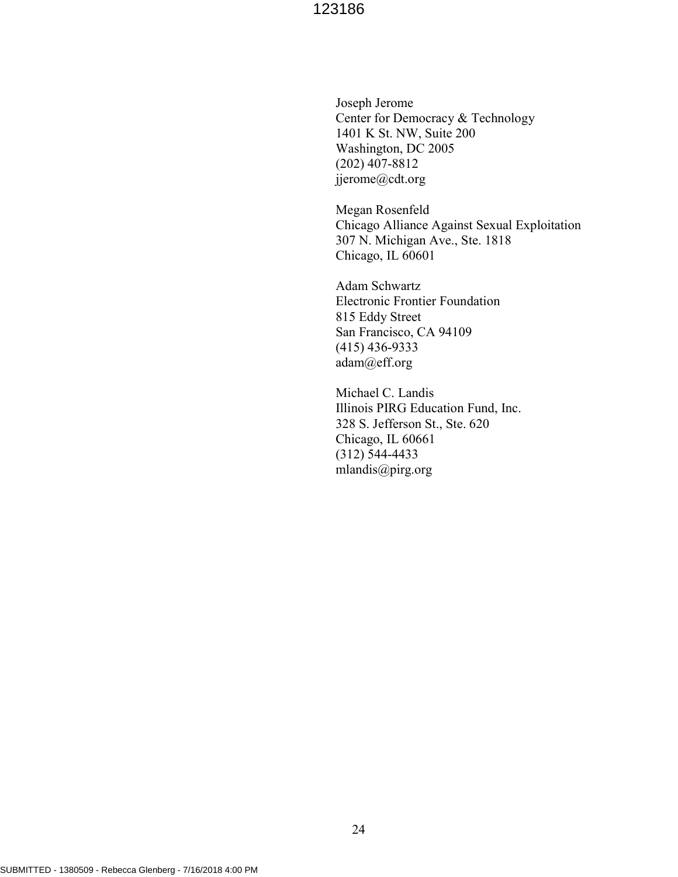Joseph Jerome Center for Democracy & Technology 1401 K St. NW, Suite 200 Washington, DC 2005 (202) 407-8812 jjerome@cdt.org

Megan Rosenfeld Chicago Alliance Against Sexual Exploitation 307 N. Michigan Ave., Ste. 1818 Chicago, IL 60601

Adam Schwartz Electronic Frontier Foundation 815 Eddy Street San Francisco, CA 94109 (415) 436-9333 adam@eff.org

Michael C. Landis Illinois PIRG Education Fund, Inc. 328 S. Jefferson St., Ste. 620 Chicago, IL 60661 (312) 544-4433 mlandis@pirg.org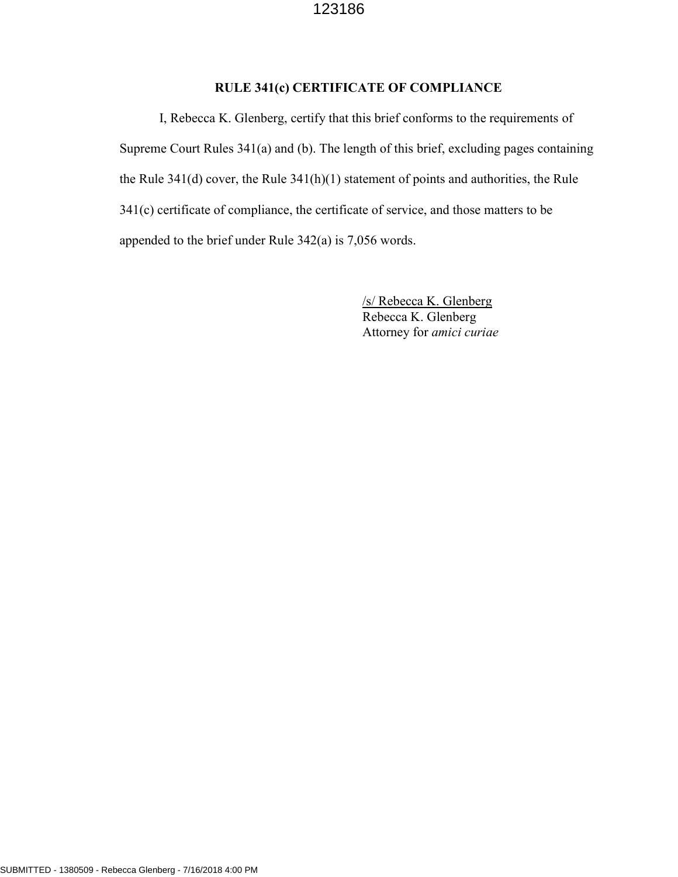## RULE 341(c) CERTIFICATE OF COMPLIANCE

I, Rebecca K. Glenberg, certify that this brief conforms to the requirements of Supreme Court Rules 341(a) and (b). The length of this brief, excluding pages containing the Rule 341(d) cover, the Rule 341(h)(1) statement of points and authorities, the Rule 341(c) certificate of compliance, the certificate of service, and those matters to be appended to the brief under Rule 342(a) is 7,056 words.

> /s/ Rebecca K. Glenberg Rebecca K. Glenberg Attorney for amici curiae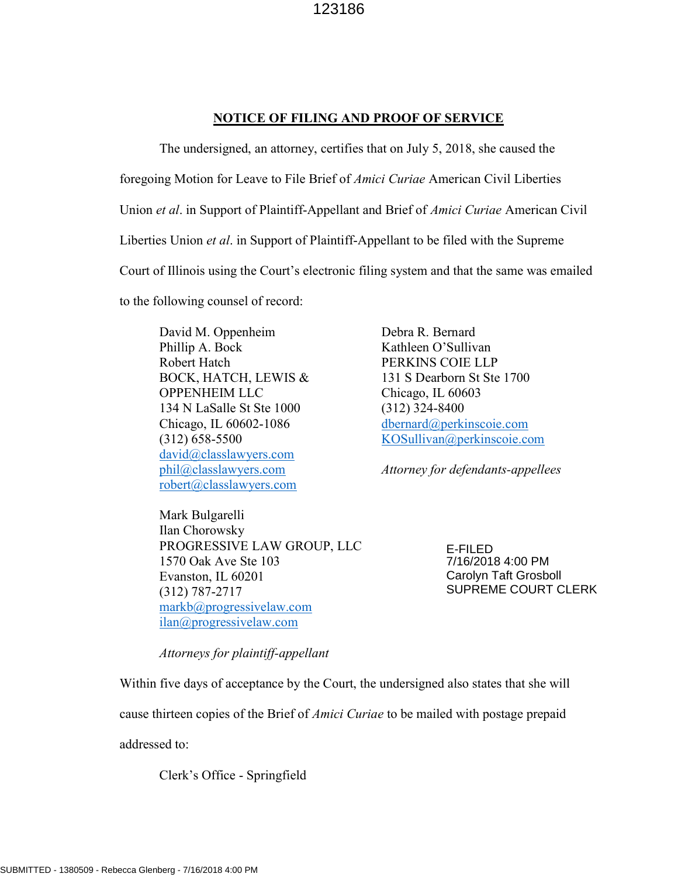## NOTICE OF FILING AND PROOF OF SERVICE

 The undersigned, an attorney, certifies that on July 5, 2018, she caused the foregoing Motion for Leave to File Brief of Amici Curiae American Civil Liberties Union et al. in Support of Plaintiff-Appellant and Brief of *Amici Curiae* American Civil Liberties Union et al. in Support of Plaintiff-Appellant to be filed with the Supreme Court of Illinois using the Court's electronic filing system and that the same was emailed to the following counsel of record:

David M. Oppenheim Phillip A. Bock Robert Hatch BOCK, HATCH, LEWIS & OPPENHEIM LLC 134 N LaSalle St Ste 1000 Chicago, IL 60602-1086 (312) 658-5500 david@classlawyers.com phil@classlawyers.com robert@classlawyers.com

Mark Bulgarelli Ilan Chorowsky PROGRESSIVE LAW GROUP, LLC 1570 Oak Ave Ste 103 Evanston, IL 60201 (312) 787-2717 markb@progressivelaw.com ilan@progressivelaw.com

Debra R. Bernard Kathleen O'Sullivan PERKINS COIE LLP 131 S Dearborn St Ste 1700 Chicago, IL 60603 (312) 324-8400 dbernard@perkinscoie.com KOSullivan@perkinscoie.com

Attorney for defendants-appellees

E-FILED 7/16/2018 4:00 PM Carolyn Taft Grosboll SUPREME COURT CLERK

Attorneys for plaintiff-appellant

Within five days of acceptance by the Court, the undersigned also states that she will

cause thirteen copies of the Brief of *Amici Curiae* to be mailed with postage prepaid

addressed to:

Clerk's Office - Springfield